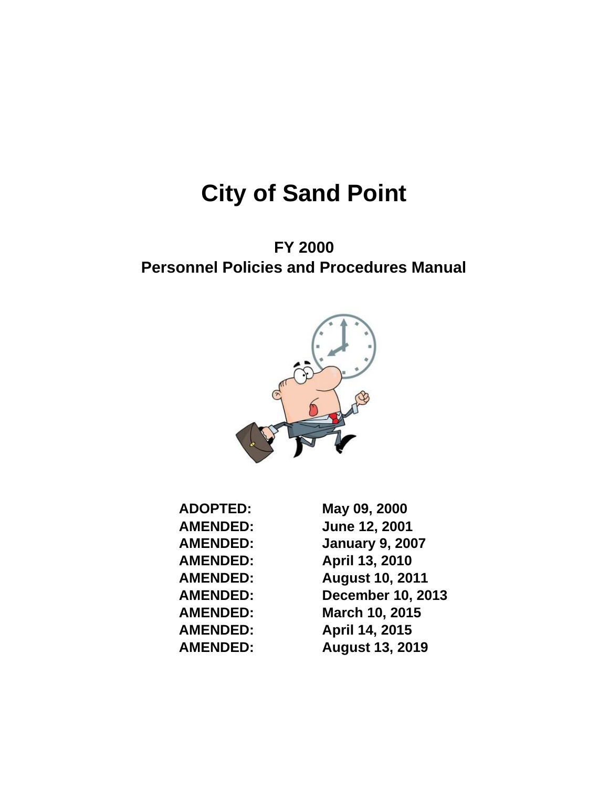# **City of Sand Point**

**FY 2000 Personnel Policies and Procedures Manual** 



| <b>ADOPTED:</b> | May 09, 2000             |
|-----------------|--------------------------|
| <b>AMENDED:</b> | <b>June 12, 2001</b>     |
| <b>AMENDED:</b> | <b>January 9, 2007</b>   |
| <b>AMENDED:</b> | April 13, 2010           |
| <b>AMENDED:</b> | <b>August 10, 2011</b>   |
| <b>AMENDED:</b> | <b>December 10, 2013</b> |
| <b>AMENDED:</b> | March 10, 2015           |
| <b>AMENDED:</b> | April 14, 2015           |
| <b>AMENDED:</b> | <b>August 13, 2019</b>   |
|                 |                          |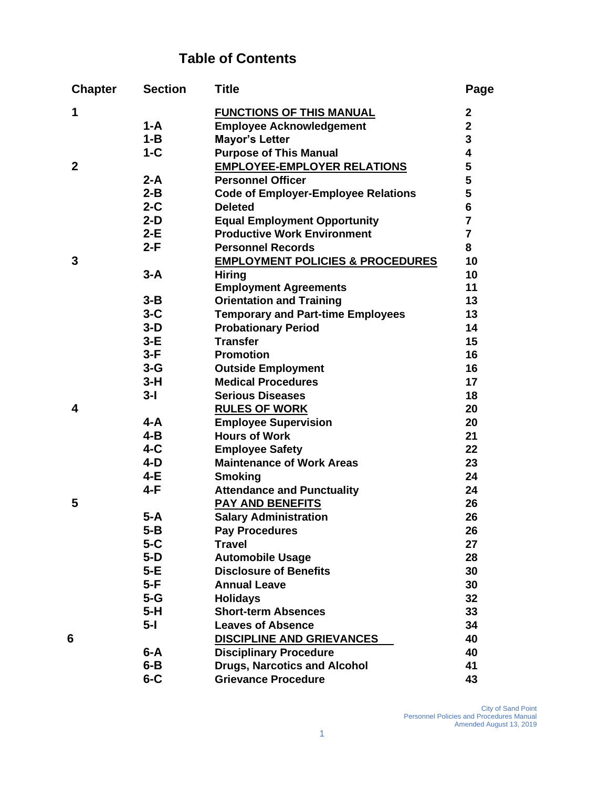## **Table of Contents**

| <b>Chapter</b> | <b>Section</b> | <b>Title</b>                                | Page           |
|----------------|----------------|---------------------------------------------|----------------|
| 1              |                | <b>FUNCTIONS OF THIS MANUAL</b>             | $\mathbf{2}$   |
|                | $1-A$          | <b>Employee Acknowledgement</b>             | $\overline{2}$ |
|                | $1 - B$        | <b>Mayor's Letter</b>                       | 3              |
|                | $1-C$          | <b>Purpose of This Manual</b>               | 4              |
| $\mathbf 2$    |                | <b>EMPLOYEE-EMPLOYER RELATIONS</b>          | 5              |
|                | $2-A$          | <b>Personnel Officer</b>                    | 5              |
|                | $2 - B$        | <b>Code of Employer-Employee Relations</b>  | 5              |
|                | $2-C$          | <b>Deleted</b>                              | 6              |
|                | $2-D$          | <b>Equal Employment Opportunity</b>         | $\overline{7}$ |
|                | $2-E$          | <b>Productive Work Environment</b>          | $\overline{7}$ |
|                | 2-F            | <b>Personnel Records</b>                    | 8              |
| 3              |                | <b>EMPLOYMENT POLICIES &amp; PROCEDURES</b> | 10             |
|                | $3-A$          | <b>Hiring</b>                               | 10             |
|                |                | <b>Employment Agreements</b>                | 11             |
|                | $3 - B$        | <b>Orientation and Training</b>             | 13             |
|                | $3-C$          | <b>Temporary and Part-time Employees</b>    | 13             |
|                | $3-D$          | <b>Probationary Period</b>                  | 14             |
|                | $3-E$          | <b>Transfer</b>                             | 15             |
|                | $3-F$          | <b>Promotion</b>                            | 16             |
|                | $3 - G$        | <b>Outside Employment</b>                   | 16             |
|                | $3-H$          | <b>Medical Procedures</b>                   | 17             |
|                | $3-I$          | <b>Serious Diseases</b>                     | 18             |
| 4              |                | <b>RULES OF WORK</b>                        | 20             |
|                | 4-A            | <b>Employee Supervision</b>                 | 20             |
|                | $4 - B$        | <b>Hours of Work</b>                        | 21             |
|                | $4-C$          | <b>Employee Safety</b>                      | 22             |
|                | $4-D$          | <b>Maintenance of Work Areas</b>            | 23             |
|                | 4-E            | <b>Smoking</b>                              | 24             |
|                | $4-F$          | <b>Attendance and Punctuality</b>           | 24             |
| 5              |                | PAY AND BENEFITS                            | 26             |
|                | $5-A$          | <b>Salary Administration</b>                | 26             |
|                | $5 - B$        | <b>Pay Procedures</b>                       | 26             |
|                | $5 - C$        | <b>Travel</b>                               | 27             |
|                | $5-D$          | <b>Automobile Usage</b>                     | 28             |
|                | 5-E            | <b>Disclosure of Benefits</b>               | 30             |
|                | 5-F            | <b>Annual Leave</b>                         | 30             |
|                | $5 - G$        | <b>Holidays</b>                             | 32             |
|                | 5-H            | <b>Short-term Absences</b>                  | 33             |
|                | 5-l            | <b>Leaves of Absence</b>                    | 34             |
| 6              |                | <b>DISCIPLINE AND GRIEVANCES</b>            | 40             |
|                | $6 - A$        | <b>Disciplinary Procedure</b>               | 40             |
|                | $6 - B$        | <b>Drugs, Narcotics and Alcohol</b>         | 41             |
|                | $6 - C$        | <b>Grievance Procedure</b>                  | 43             |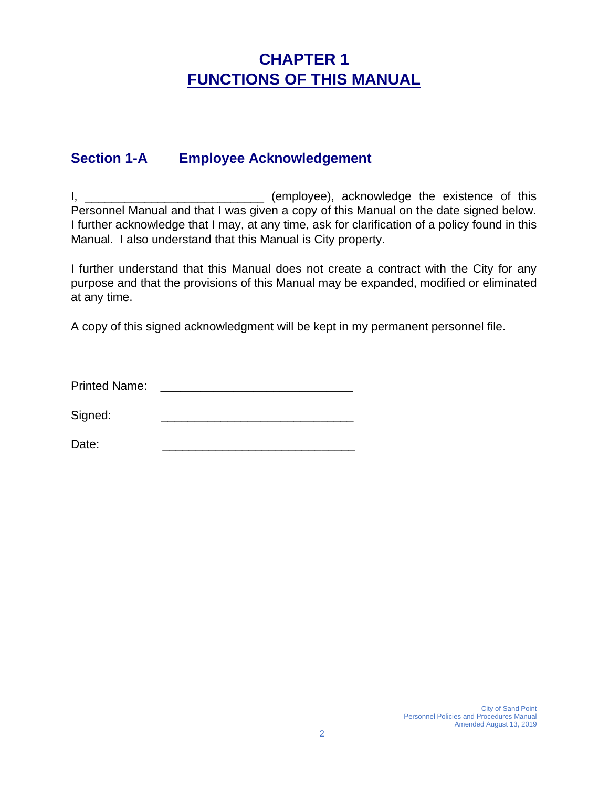# **CHAPTER 1 FUNCTIONS OF THIS MANUAL**

### **Section 1-A Employee Acknowledgement**

I, \_\_\_\_\_\_\_\_\_\_\_\_\_\_\_\_\_\_\_\_\_\_\_\_\_\_\_\_\_\_\_\_\_\_ (employee), acknowledge the existence of this Personnel Manual and that I was given a copy of this Manual on the date signed below. I further acknowledge that I may, at any time, ask for clarification of a policy found in this Manual. I also understand that this Manual is City property.

I further understand that this Manual does not create a contract with the City for any purpose and that the provisions of this Manual may be expanded, modified or eliminated at any time.

A copy of this signed acknowledgment will be kept in my permanent personnel file.

Printed Name: \_\_\_\_\_\_\_\_\_\_\_\_\_\_\_\_\_\_\_\_\_\_\_\_\_\_\_\_\_

Signed:

Date: \_\_\_\_\_\_\_\_\_\_\_\_\_\_\_\_\_\_\_\_\_\_\_\_\_\_\_\_\_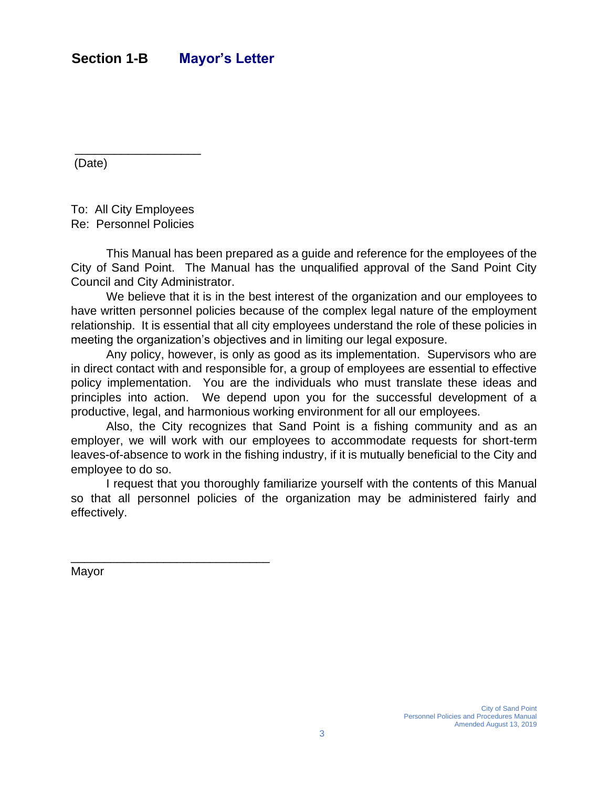(Date)

To: All City Employees Re: Personnel Policies

\_\_\_\_\_\_\_\_\_\_\_\_\_\_\_\_\_\_\_

This Manual has been prepared as a guide and reference for the employees of the City of Sand Point. The Manual has the unqualified approval of the Sand Point City Council and City Administrator.

We believe that it is in the best interest of the organization and our employees to have written personnel policies because of the complex legal nature of the employment relationship. It is essential that all city employees understand the role of these policies in meeting the organization's objectives and in limiting our legal exposure.

Any policy, however, is only as good as its implementation. Supervisors who are in direct contact with and responsible for, a group of employees are essential to effective policy implementation. You are the individuals who must translate these ideas and principles into action. We depend upon you for the successful development of a productive, legal, and harmonious working environment for all our employees.

Also, the City recognizes that Sand Point is a fishing community and as an employer, we will work with our employees to accommodate requests for short-term leaves-of-absence to work in the fishing industry, if it is mutually beneficial to the City and employee to do so.

I request that you thoroughly familiarize yourself with the contents of this Manual so that all personnel policies of the organization may be administered fairly and effectively.

Mayor

\_\_\_\_\_\_\_\_\_\_\_\_\_\_\_\_\_\_\_\_\_\_\_\_\_\_\_\_\_\_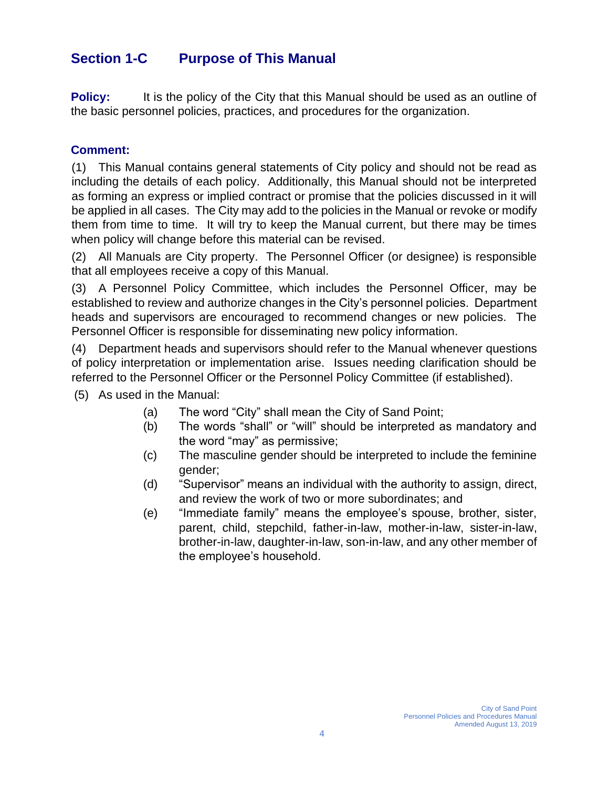### **Section 1-C Purpose of This Manual**

**Policy:** It is the policy of the City that this Manual should be used as an outline of the basic personnel policies, practices, and procedures for the organization.

#### **Comment:**

(1) This Manual contains general statements of City policy and should not be read as including the details of each policy. Additionally, this Manual should not be interpreted as forming an express or implied contract or promise that the policies discussed in it will be applied in all cases. The City may add to the policies in the Manual or revoke or modify them from time to time. It will try to keep the Manual current, but there may be times when policy will change before this material can be revised.

(2) All Manuals are City property. The Personnel Officer (or designee) is responsible that all employees receive a copy of this Manual.

(3) A Personnel Policy Committee, which includes the Personnel Officer, may be established to review and authorize changes in the City's personnel policies. Department heads and supervisors are encouraged to recommend changes or new policies. The Personnel Officer is responsible for disseminating new policy information.

(4) Department heads and supervisors should refer to the Manual whenever questions of policy interpretation or implementation arise. Issues needing clarification should be referred to the Personnel Officer or the Personnel Policy Committee (if established).

- (5) As used in the Manual:
	- (a) The word "City" shall mean the City of Sand Point;
	- (b) The words "shall" or "will" should be interpreted as mandatory and the word "may" as permissive;
	- (c) The masculine gender should be interpreted to include the feminine gender;
	- (d) "Supervisor" means an individual with the authority to assign, direct, and review the work of two or more subordinates; and
	- (e) "Immediate family" means the employee's spouse, brother, sister, parent, child, stepchild, father-in-law, mother-in-law, sister-in-law, brother-in-law, daughter-in-law, son-in-law, and any other member of the employee's household.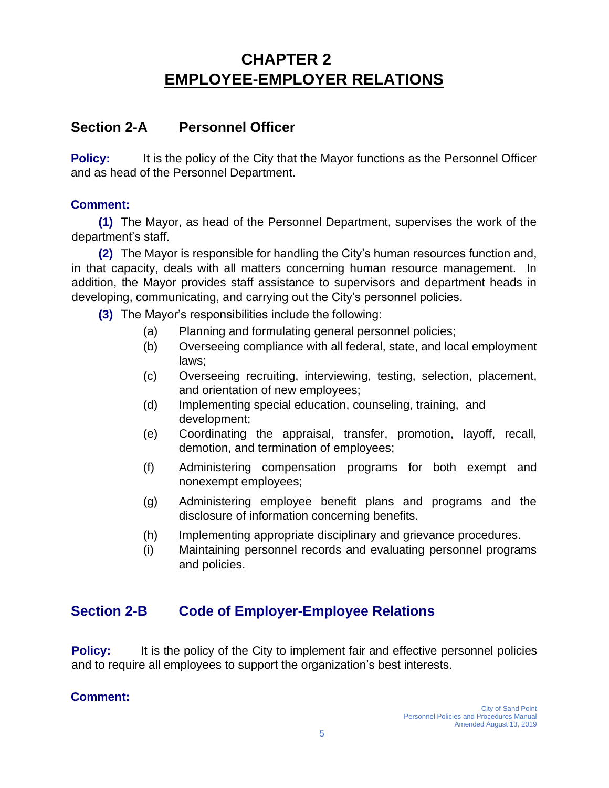# **CHAPTER 2 EMPLOYEE-EMPLOYER RELATIONS**

### **Section 2-A Personnel Officer**

**Policy:** It is the policy of the City that the Mayor functions as the Personnel Officer and as head of the Personnel Department.

#### **Comment:**

**(1)** The Mayor, as head of the Personnel Department, supervises the work of the department's staff.

**(2)** The Mayor is responsible for handling the City's human resources function and, in that capacity, deals with all matters concerning human resource management. In addition, the Mayor provides staff assistance to supervisors and department heads in developing, communicating, and carrying out the City's personnel policies.

**(3)** The Mayor's responsibilities include the following:

- (a) Planning and formulating general personnel policies;
- (b) Overseeing compliance with all federal, state, and local employment laws;
- (c) Overseeing recruiting, interviewing, testing, selection, placement, and orientation of new employees;
- (d) Implementing special education, counseling, training, and development;
- (e) Coordinating the appraisal, transfer, promotion, layoff, recall, demotion, and termination of employees;
- (f) Administering compensation programs for both exempt and nonexempt employees;
- (g) Administering employee benefit plans and programs and the disclosure of information concerning benefits.
- (h) Implementing appropriate disciplinary and grievance procedures.
- (i) Maintaining personnel records and evaluating personnel programs and policies.

### **Section 2-B Code of Employer-Employee Relations**

**Policy:** It is the policy of the City to implement fair and effective personnel policies and to require all employees to support the organization's best interests.

#### **Comment:**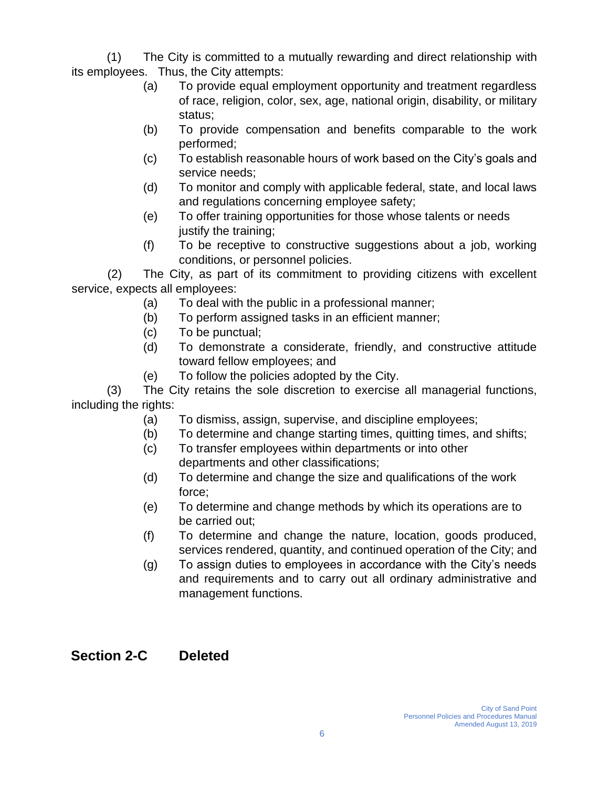(1) The City is committed to a mutually rewarding and direct relationship with its employees. Thus, the City attempts:

- (a) To provide equal employment opportunity and treatment regardless of race, religion, color, sex, age, national origin, disability, or military status;
- (b) To provide compensation and benefits comparable to the work performed;
- (c) To establish reasonable hours of work based on the City's goals and service needs;
- (d) To monitor and comply with applicable federal, state, and local laws and regulations concerning employee safety;
- (e) To offer training opportunities for those whose talents or needs justify the training;
- (f) To be receptive to constructive suggestions about a job, working conditions, or personnel policies.

(2) The City, as part of its commitment to providing citizens with excellent service, expects all employees:

- (a) To deal with the public in a professional manner;
- (b) To perform assigned tasks in an efficient manner;
- (c) To be punctual;
- (d) To demonstrate a considerate, friendly, and constructive attitude toward fellow employees; and
- (e) To follow the policies adopted by the City.

(3) The City retains the sole discretion to exercise all managerial functions, including the rights:

- (a) To dismiss, assign, supervise, and discipline employees;
- (b) To determine and change starting times, quitting times, and shifts;
- (c) To transfer employees within departments or into other departments and other classifications;
- (d) To determine and change the size and qualifications of the work force;
- (e) To determine and change methods by which its operations are to be carried out;
- (f) To determine and change the nature, location, goods produced, services rendered, quantity, and continued operation of the City; and
- (g) To assign duties to employees in accordance with the City's needs and requirements and to carry out all ordinary administrative and management functions.

### **Section 2-C Deleted**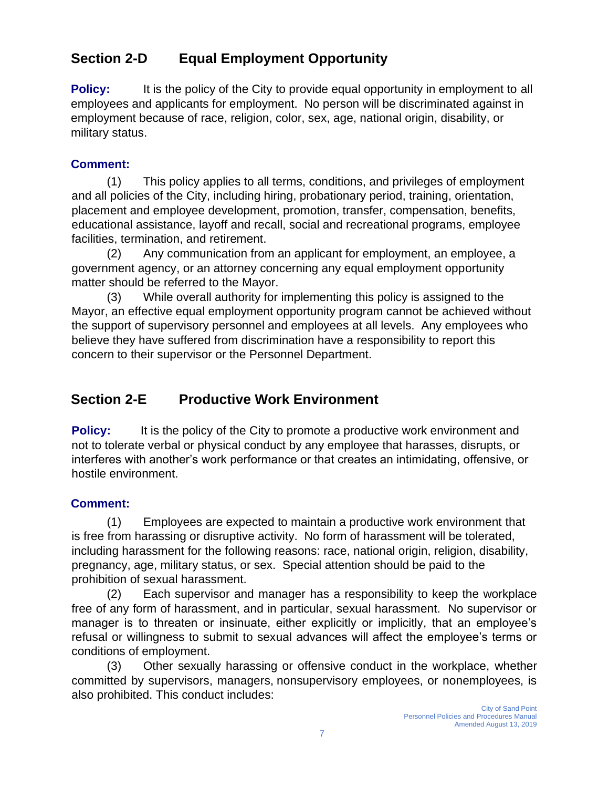### **Section 2-D Equal Employment Opportunity**

**Policy:** It is the policy of the City to provide equal opportunity in employment to all employees and applicants for employment. No person will be discriminated against in employment because of race, religion, color, sex, age, national origin, disability, or military status.

#### **Comment:**

(1) This policy applies to all terms, conditions, and privileges of employment and all policies of the City, including hiring, probationary period, training, orientation, placement and employee development, promotion, transfer, compensation, benefits, educational assistance, layoff and recall, social and recreational programs, employee facilities, termination, and retirement.

(2) Any communication from an applicant for employment, an employee, a government agency, or an attorney concerning any equal employment opportunity matter should be referred to the Mayor.

(3) While overall authority for implementing this policy is assigned to the Mayor, an effective equal employment opportunity program cannot be achieved without the support of supervisory personnel and employees at all levels. Any employees who believe they have suffered from discrimination have a responsibility to report this concern to their supervisor or the Personnel Department.

### **Section 2-E Productive Work Environment**

**Policy:** It is the policy of the City to promote a productive work environment and not to tolerate verbal or physical conduct by any employee that harasses, disrupts, or interferes with another's work performance or that creates an intimidating, offensive, or hostile environment.

#### **Comment:**

(1) Employees are expected to maintain a productive work environment that is free from harassing or disruptive activity. No form of harassment will be tolerated, including harassment for the following reasons: race, national origin, religion, disability, pregnancy, age, military status, or sex. Special attention should be paid to the prohibition of sexual harassment.

(2) Each supervisor and manager has a responsibility to keep the workplace free of any form of harassment, and in particular, sexual harassment. No supervisor or manager is to threaten or insinuate, either explicitly or implicitly, that an employee's refusal or willingness to submit to sexual advances will affect the employee's terms or conditions of employment.

(3) Other sexually harassing or offensive conduct in the workplace, whether committed by supervisors, managers, nonsupervisory employees, or nonemployees, is also prohibited. This conduct includes: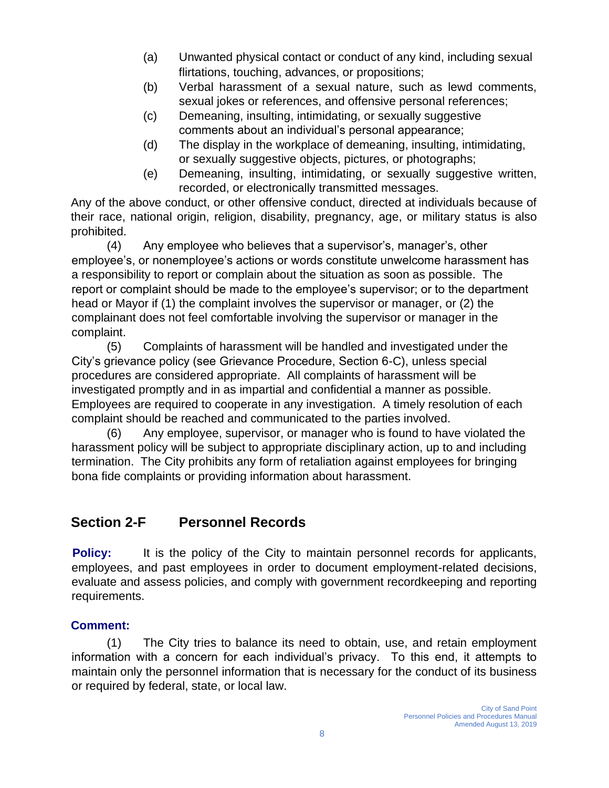- (a) Unwanted physical contact or conduct of any kind, including sexual flirtations, touching, advances, or propositions;
- (b) Verbal harassment of a sexual nature, such as lewd comments, sexual jokes or references, and offensive personal references;
- (c) Demeaning, insulting, intimidating, or sexually suggestive comments about an individual's personal appearance;
- (d) The display in the workplace of demeaning, insulting, intimidating, or sexually suggestive objects, pictures, or photographs;
- (e) Demeaning, insulting, intimidating, or sexually suggestive written, recorded, or electronically transmitted messages.

Any of the above conduct, or other offensive conduct, directed at individuals because of their race, national origin, religion, disability, pregnancy, age, or military status is also prohibited.

(4) Any employee who believes that a supervisor's, manager's, other employee's, or nonemployee's actions or words constitute unwelcome harassment has a responsibility to report or complain about the situation as soon as possible. The report or complaint should be made to the employee's supervisor; or to the department head or Mayor if (1) the complaint involves the supervisor or manager, or (2) the complainant does not feel comfortable involving the supervisor or manager in the complaint.

(5) Complaints of harassment will be handled and investigated under the City's grievance policy (see Grievance Procedure, Section 6-C), unless special procedures are considered appropriate. All complaints of harassment will be investigated promptly and in as impartial and confidential a manner as possible. Employees are required to cooperate in any investigation. A timely resolution of each complaint should be reached and communicated to the parties involved.

(6) Any employee, supervisor, or manager who is found to have violated the harassment policy will be subject to appropriate disciplinary action, up to and including termination. The City prohibits any form of retaliation against employees for bringing bona fide complaints or providing information about harassment.

### **Section 2-F Personnel Records**

**Policy:** It is the policy of the City to maintain personnel records for applicants, employees, and past employees in order to document employment-related decisions, evaluate and assess policies, and comply with government recordkeeping and reporting requirements.

### **Comment:**

(1) The City tries to balance its need to obtain, use, and retain employment information with a concern for each individual's privacy. To this end, it attempts to maintain only the personnel information that is necessary for the conduct of its business or required by federal, state, or local law.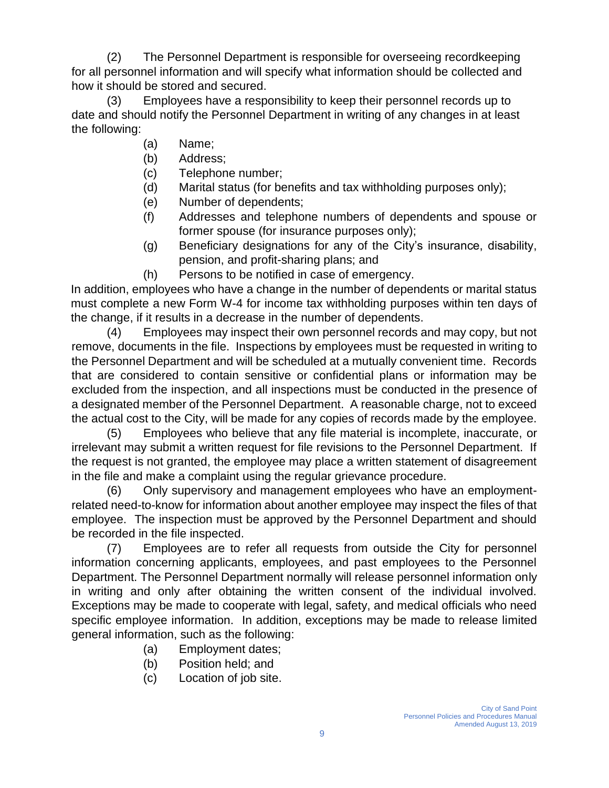(2) The Personnel Department is responsible for overseeing recordkeeping for all personnel information and will specify what information should be collected and how it should be stored and secured.

(3) Employees have a responsibility to keep their personnel records up to date and should notify the Personnel Department in writing of any changes in at least the following:

- (a) Name;
- (b) Address;
- (c) Telephone number;
- (d) Marital status (for benefits and tax withholding purposes only);
- (e) Number of dependents;
- (f) Addresses and telephone numbers of dependents and spouse or former spouse (for insurance purposes only);
- (g) Beneficiary designations for any of the City's insurance, disability, pension, and profit-sharing plans; and
- (h) Persons to be notified in case of emergency.

In addition, employees who have a change in the number of dependents or marital status must complete a new Form W-4 for income tax withholding purposes within ten days of the change, if it results in a decrease in the number of dependents.

(4) Employees may inspect their own personnel records and may copy, but not remove, documents in the file. Inspections by employees must be requested in writing to the Personnel Department and will be scheduled at a mutually convenient time. Records that are considered to contain sensitive or confidential plans or information may be excluded from the inspection, and all inspections must be conducted in the presence of a designated member of the Personnel Department. A reasonable charge, not to exceed the actual cost to the City, will be made for any copies of records made by the employee.

(5) Employees who believe that any file material is incomplete, inaccurate, or irrelevant may submit a written request for file revisions to the Personnel Department. If the request is not granted, the employee may place a written statement of disagreement in the file and make a complaint using the regular grievance procedure.

(6) Only supervisory and management employees who have an employmentrelated need-to-know for information about another employee may inspect the files of that employee. The inspection must be approved by the Personnel Department and should be recorded in the file inspected.

(7) Employees are to refer all requests from outside the City for personnel information concerning applicants, employees, and past employees to the Personnel Department. The Personnel Department normally will release personnel information only in writing and only after obtaining the written consent of the individual involved. Exceptions may be made to cooperate with legal, safety, and medical officials who need specific employee information. In addition, exceptions may be made to release limited general information, such as the following:

- (a) Employment dates;
- (b) Position held; and
- (c) Location of job site.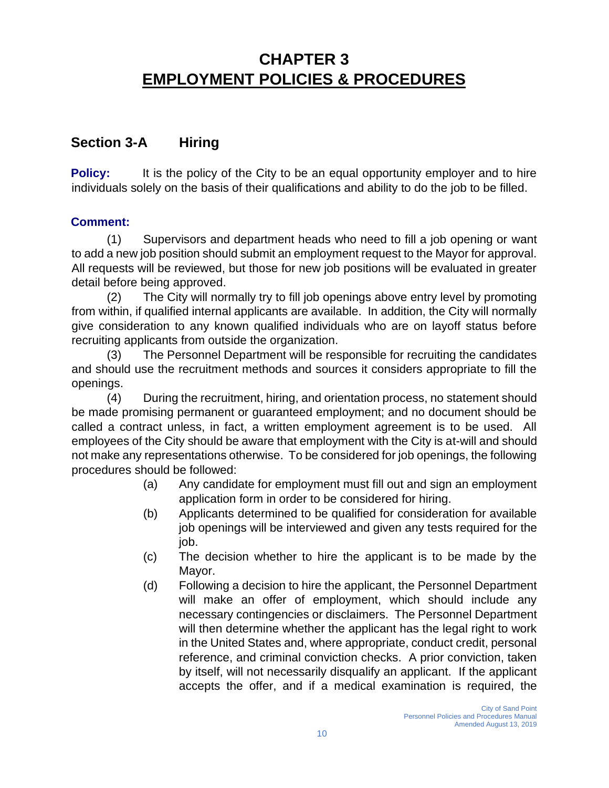# **CHAPTER 3 EMPLOYMENT POLICIES & PROCEDURES**

### **Section 3-A Hiring**

**Policy:** It is the policy of the City to be an equal opportunity employer and to hire individuals solely on the basis of their qualifications and ability to do the job to be filled.

#### **Comment:**

(1) Supervisors and department heads who need to fill a job opening or want to add a new job position should submit an employment request to the Mayor for approval. All requests will be reviewed, but those for new job positions will be evaluated in greater detail before being approved.

(2) The City will normally try to fill job openings above entry level by promoting from within, if qualified internal applicants are available. In addition, the City will normally give consideration to any known qualified individuals who are on layoff status before recruiting applicants from outside the organization.

(3) The Personnel Department will be responsible for recruiting the candidates and should use the recruitment methods and sources it considers appropriate to fill the openings.

(4) During the recruitment, hiring, and orientation process, no statement should be made promising permanent or guaranteed employment; and no document should be called a contract unless, in fact, a written employment agreement is to be used. All employees of the City should be aware that employment with the City is at-will and should not make any representations otherwise. To be considered for job openings, the following procedures should be followed:

- (a) Any candidate for employment must fill out and sign an employment application form in order to be considered for hiring.
- (b) Applicants determined to be qualified for consideration for available job openings will be interviewed and given any tests required for the job.
- (c) The decision whether to hire the applicant is to be made by the Mayor.
- (d) Following a decision to hire the applicant, the Personnel Department will make an offer of employment, which should include any necessary contingencies or disclaimers. The Personnel Department will then determine whether the applicant has the legal right to work in the United States and, where appropriate, conduct credit, personal reference, and criminal conviction checks. A prior conviction, taken by itself, will not necessarily disqualify an applicant. If the applicant accepts the offer, and if a medical examination is required, the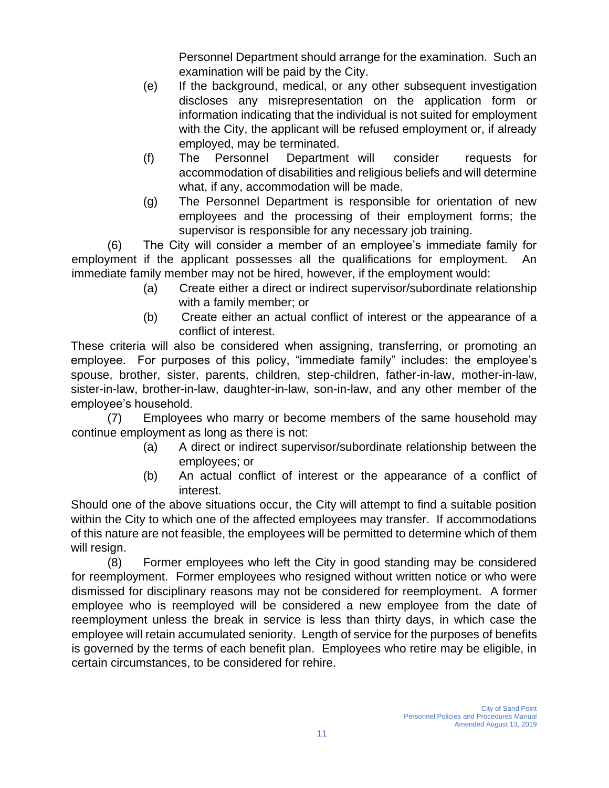Personnel Department should arrange for the examination. Such an examination will be paid by the City.

- (e) If the background, medical, or any other subsequent investigation discloses any misrepresentation on the application form or information indicating that the individual is not suited for employment with the City, the applicant will be refused employment or, if already employed, may be terminated.
- (f) The Personnel Department will consider requests for accommodation of disabilities and religious beliefs and will determine what, if any, accommodation will be made.
- (g) The Personnel Department is responsible for orientation of new employees and the processing of their employment forms; the supervisor is responsible for any necessary job training.

(6) The City will consider a member of an employee's immediate family for employment if the applicant possesses all the qualifications for employment. An immediate family member may not be hired, however, if the employment would:

- (a) Create either a direct or indirect supervisor/subordinate relationship with a family member; or
- (b) Create either an actual conflict of interest or the appearance of a conflict of interest.

These criteria will also be considered when assigning, transferring, or promoting an employee. For purposes of this policy, "immediate family" includes: the employee's spouse, brother, sister, parents, children, step-children, father-in-law, mother-in-law, sister-in-law, brother-in-law, daughter-in-law, son-in-law, and any other member of the employee's household.

(7) Employees who marry or become members of the same household may continue employment as long as there is not:

- (a) A direct or indirect supervisor/subordinate relationship between the employees; or
- (b) An actual conflict of interest or the appearance of a conflict of interest.

Should one of the above situations occur, the City will attempt to find a suitable position within the City to which one of the affected employees may transfer. If accommodations of this nature are not feasible, the employees will be permitted to determine which of them will resign.

(8) Former employees who left the City in good standing may be considered for reemployment. Former employees who resigned without written notice or who were dismissed for disciplinary reasons may not be considered for reemployment. A former employee who is reemployed will be considered a new employee from the date of reemployment unless the break in service is less than thirty days, in which case the employee will retain accumulated seniority. Length of service for the purposes of benefits is governed by the terms of each benefit plan. Employees who retire may be eligible, in certain circumstances, to be considered for rehire.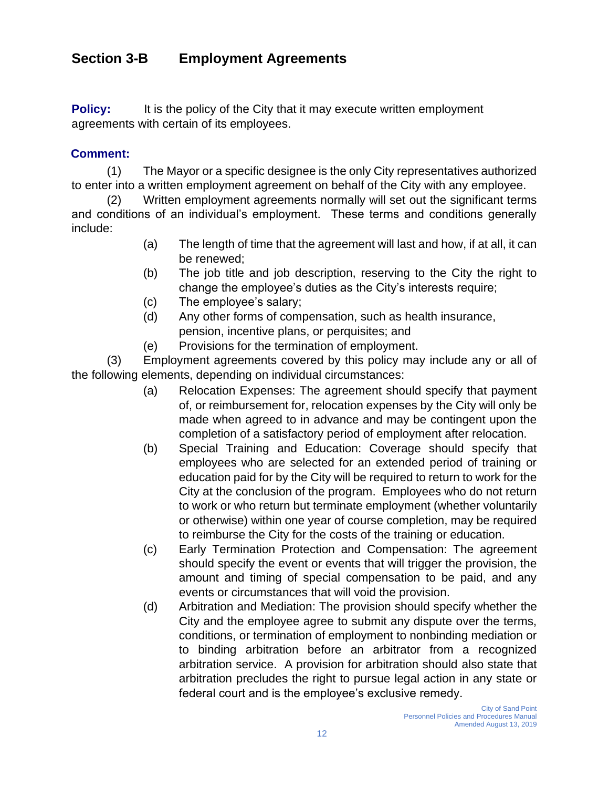### **Section 3-B Employment Agreements**

**Policy:** It is the policy of the City that it may execute written employment agreements with certain of its employees.

#### **Comment:**

(1) The Mayor or a specific designee is the only City representatives authorized to enter into a written employment agreement on behalf of the City with any employee.

(2) Written employment agreements normally will set out the significant terms and conditions of an individual's employment. These terms and conditions generally include:

- (a) The length of time that the agreement will last and how, if at all, it can be renewed;
- (b) The job title and job description, reserving to the City the right to change the employee's duties as the City's interests require;
- (c) The employee's salary;
- (d) Any other forms of compensation, such as health insurance, pension, incentive plans, or perquisites; and
- (e) Provisions for the termination of employment.

(3) Employment agreements covered by this policy may include any or all of the following elements, depending on individual circumstances:

- (a) Relocation Expenses: The agreement should specify that payment of, or reimbursement for, relocation expenses by the City will only be made when agreed to in advance and may be contingent upon the completion of a satisfactory period of employment after relocation.
- (b) Special Training and Education: Coverage should specify that employees who are selected for an extended period of training or education paid for by the City will be required to return to work for the City at the conclusion of the program. Employees who do not return to work or who return but terminate employment (whether voluntarily or otherwise) within one year of course completion, may be required to reimburse the City for the costs of the training or education.
- (c) Early Termination Protection and Compensation: The agreement should specify the event or events that will trigger the provision, the amount and timing of special compensation to be paid, and any events or circumstances that will void the provision.
- (d) Arbitration and Mediation: The provision should specify whether the City and the employee agree to submit any dispute over the terms, conditions, or termination of employment to nonbinding mediation or to binding arbitration before an arbitrator from a recognized arbitration service. A provision for arbitration should also state that arbitration precludes the right to pursue legal action in any state or federal court and is the employee's exclusive remedy.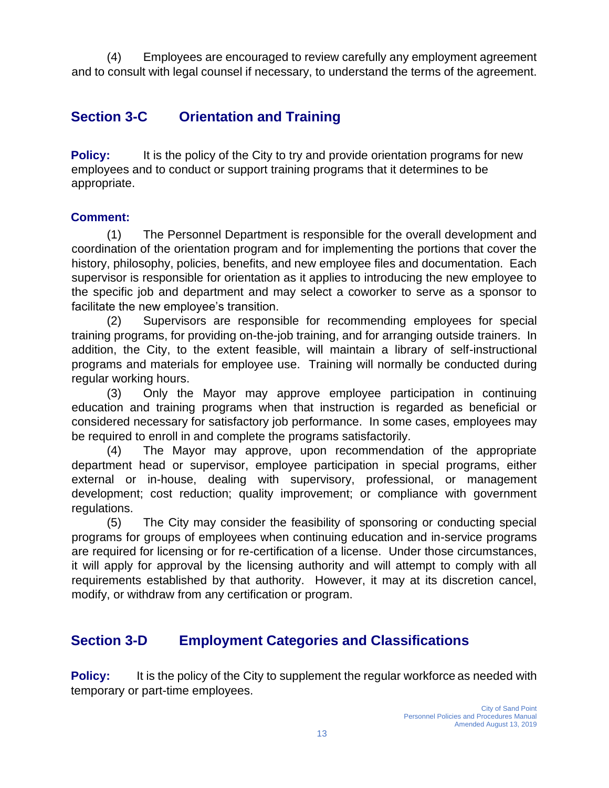(4) Employees are encouraged to review carefully any employment agreement and to consult with legal counsel if necessary, to understand the terms of the agreement.

### **Section 3-C Orientation and Training**

**Policy:** It is the policy of the City to try and provide orientation programs for new employees and to conduct or support training programs that it determines to be appropriate.

#### **Comment:**

(1) The Personnel Department is responsible for the overall development and coordination of the orientation program and for implementing the portions that cover the history, philosophy, policies, benefits, and new employee files and documentation. Each supervisor is responsible for orientation as it applies to introducing the new employee to the specific job and department and may select a coworker to serve as a sponsor to facilitate the new employee's transition.

(2) Supervisors are responsible for recommending employees for special training programs, for providing on-the-job training, and for arranging outside trainers. In addition, the City, to the extent feasible, will maintain a library of self-instructional programs and materials for employee use. Training will normally be conducted during regular working hours.

(3) Only the Mayor may approve employee participation in continuing education and training programs when that instruction is regarded as beneficial or considered necessary for satisfactory job performance. In some cases, employees may be required to enroll in and complete the programs satisfactorily.

(4) The Mayor may approve, upon recommendation of the appropriate department head or supervisor, employee participation in special programs, either external or in-house, dealing with supervisory, professional, or management development; cost reduction; quality improvement; or compliance with government regulations.

(5) The City may consider the feasibility of sponsoring or conducting special programs for groups of employees when continuing education and in-service programs are required for licensing or for re-certification of a license. Under those circumstances, it will apply for approval by the licensing authority and will attempt to comply with all requirements established by that authority. However, it may at its discretion cancel, modify, or withdraw from any certification or program.

### **Section 3-D Employment Categories and Classifications**

**Policy:** It is the policy of the City to supplement the regular workforce as needed with temporary or part-time employees.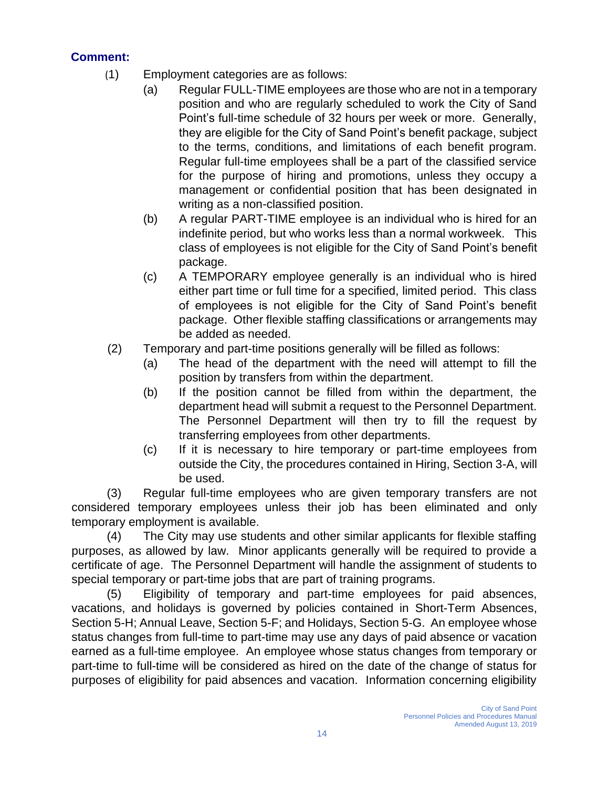#### **Comment:**

- (1) Employment categories are as follows:
	- (a) Regular FULL-TIME employees are those who are not in a temporary position and who are regularly scheduled to work the City of Sand Point's full-time schedule of 32 hours per week or more. Generally, they are eligible for the City of Sand Point's benefit package, subject to the terms, conditions, and limitations of each benefit program. Regular full-time employees shall be a part of the classified service for the purpose of hiring and promotions, unless they occupy a management or confidential position that has been designated in writing as a non-classified position.
	- (b) A regular PART-TIME employee is an individual who is hired for an indefinite period, but who works less than a normal workweek. This class of employees is not eligible for the City of Sand Point's benefit package.
	- (c) A TEMPORARY employee generally is an individual who is hired either part time or full time for a specified, limited period. This class of employees is not eligible for the City of Sand Point's benefit package. Other flexible staffing classifications or arrangements may be added as needed.
- (2) Temporary and part-time positions generally will be filled as follows:
	- (a) The head of the department with the need will attempt to fill the position by transfers from within the department.
	- (b) If the position cannot be filled from within the department, the department head will submit a request to the Personnel Department. The Personnel Department will then try to fill the request by transferring employees from other departments.
	- (c) If it is necessary to hire temporary or part-time employees from outside the City, the procedures contained in Hiring, Section 3-A, will be used.

(3) Regular full-time employees who are given temporary transfers are not considered temporary employees unless their job has been eliminated and only temporary employment is available.

(4) The City may use students and other similar applicants for flexible staffing purposes, as allowed by law. Minor applicants generally will be required to provide a certificate of age. The Personnel Department will handle the assignment of students to special temporary or part-time jobs that are part of training programs.

(5) Eligibility of temporary and part-time employees for paid absences, vacations, and holidays is governed by policies contained in Short-Term Absences, Section 5-H; Annual Leave, Section 5-F; and Holidays, Section 5-G. An employee whose status changes from full-time to part-time may use any days of paid absence or vacation earned as a full-time employee. An employee whose status changes from temporary or part-time to full-time will be considered as hired on the date of the change of status for purposes of eligibility for paid absences and vacation. Information concerning eligibility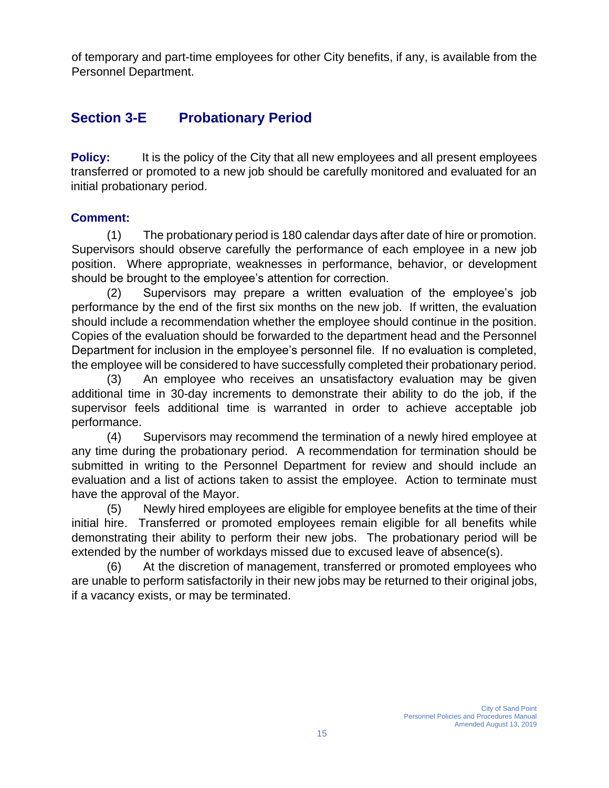of temporary and part-time employees for other City benefits, if any, is available from the Personnel Department.

### **Section 3-E Probationary Period**

**Policy:** It is the policy of the City that all new employees and all present employees transferred or promoted to a new job should be carefully monitored and evaluated for an initial probationary period.

#### **Comment:**

(1) The probationary period is 180 calendar days after date of hire or promotion. Supervisors should observe carefully the performance of each employee in a new job position. Where appropriate, weaknesses in performance, behavior, or development should be brought to the employee's attention for correction.

(2) Supervisors may prepare a written evaluation of the employee's job performance by the end of the first six months on the new job. If written, the evaluation should include a recommendation whether the employee should continue in the position. Copies of the evaluation should be forwarded to the department head and the Personnel Department for inclusion in the employee's personnel file. If no evaluation is completed, the employee will be considered to have successfully completed their probationary period.

(3) An employee who receives an unsatisfactory evaluation may be given additional time in 30-day increments to demonstrate their ability to do the job, if the supervisor feels additional time is warranted in order to achieve acceptable job performance.

(4) Supervisors may recommend the termination of a newly hired employee at any time during the probationary period. A recommendation for termination should be submitted in writing to the Personnel Department for review and should include an evaluation and a list of actions taken to assist the employee. Action to terminate must have the approval of the Mayor.

(5) Newly hired employees are eligible for employee benefits at the time of their initial hire. Transferred or promoted employees remain eligible for all benefits while demonstrating their ability to perform their new jobs. The probationary period will be extended by the number of workdays missed due to excused leave of absence(s).

(6) At the discretion of management, transferred or promoted employees who are unable to perform satisfactorily in their new jobs may be returned to their original jobs, if a vacancy exists, or may be terminated.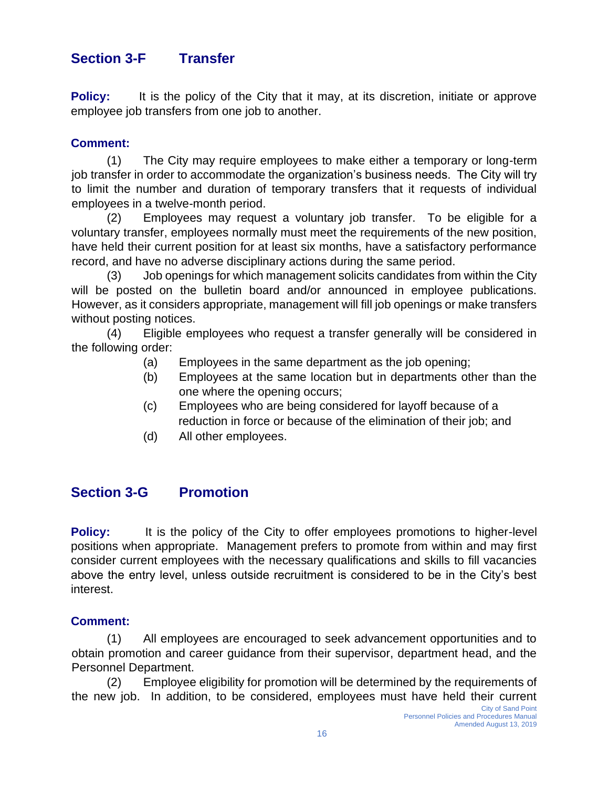### **Section 3-F Transfer**

**Policy:** It is the policy of the City that it may, at its discretion, initiate or approve employee job transfers from one job to another.

#### **Comment:**

(1) The City may require employees to make either a temporary or long-term job transfer in order to accommodate the organization's business needs. The City will try to limit the number and duration of temporary transfers that it requests of individual employees in a twelve-month period.

(2) Employees may request a voluntary job transfer. To be eligible for a voluntary transfer, employees normally must meet the requirements of the new position, have held their current position for at least six months, have a satisfactory performance record, and have no adverse disciplinary actions during the same period.

(3) Job openings for which management solicits candidates from within the City will be posted on the bulletin board and/or announced in employee publications. However, as it considers appropriate, management will fill job openings or make transfers without posting notices.

(4) Eligible employees who request a transfer generally will be considered in the following order:

- (a) Employees in the same department as the job opening;
- (b) Employees at the same location but in departments other than the one where the opening occurs;
- (c) Employees who are being considered for layoff because of a reduction in force or because of the elimination of their job; and
- (d) All other employees.

### **Section 3-G Promotion**

**Policy:** It is the policy of the City to offer employees promotions to higher-level positions when appropriate. Management prefers to promote from within and may first consider current employees with the necessary qualifications and skills to fill vacancies above the entry level, unless outside recruitment is considered to be in the City's best interest.

#### **Comment:**

(1) All employees are encouraged to seek advancement opportunities and to obtain promotion and career guidance from their supervisor, department head, and the Personnel Department.

(2) Employee eligibility for promotion will be determined by the requirements of the new job. In addition, to be considered, employees must have held their current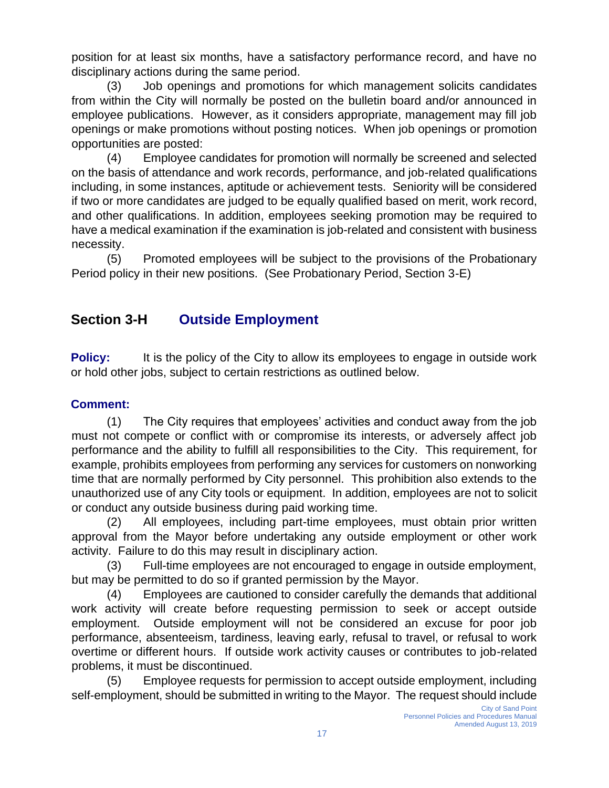position for at least six months, have a satisfactory performance record, and have no disciplinary actions during the same period.

(3) Job openings and promotions for which management solicits candidates from within the City will normally be posted on the bulletin board and/or announced in employee publications. However, as it considers appropriate, management may fill job openings or make promotions without posting notices. When job openings or promotion opportunities are posted:

(4) Employee candidates for promotion will normally be screened and selected on the basis of attendance and work records, performance, and job-related qualifications including, in some instances, aptitude or achievement tests. Seniority will be considered if two or more candidates are judged to be equally qualified based on merit, work record, and other qualifications. In addition, employees seeking promotion may be required to have a medical examination if the examination is job-related and consistent with business necessity.

(5) Promoted employees will be subject to the provisions of the Probationary Period policy in their new positions. (See Probationary Period, Section 3-E)

### **Section 3-H Outside Employment**

**Policy:** It is the policy of the City to allow its employees to engage in outside work or hold other jobs, subject to certain restrictions as outlined below.

#### **Comment:**

(1) The City requires that employees' activities and conduct away from the job must not compete or conflict with or compromise its interests, or adversely affect job performance and the ability to fulfill all responsibilities to the City. This requirement, for example, prohibits employees from performing any services for customers on nonworking time that are normally performed by City personnel. This prohibition also extends to the unauthorized use of any City tools or equipment. In addition, employees are not to solicit or conduct any outside business during paid working time.

(2) All employees, including part-time employees, must obtain prior written approval from the Mayor before undertaking any outside employment or other work activity. Failure to do this may result in disciplinary action.

(3) Full-time employees are not encouraged to engage in outside employment, but may be permitted to do so if granted permission by the Mayor.

(4) Employees are cautioned to consider carefully the demands that additional work activity will create before requesting permission to seek or accept outside employment. Outside employment will not be considered an excuse for poor job performance, absenteeism, tardiness, leaving early, refusal to travel, or refusal to work overtime or different hours. If outside work activity causes or contributes to job-related problems, it must be discontinued.

(5) Employee requests for permission to accept outside employment, including self-employment, should be submitted in writing to the Mayor. The request should include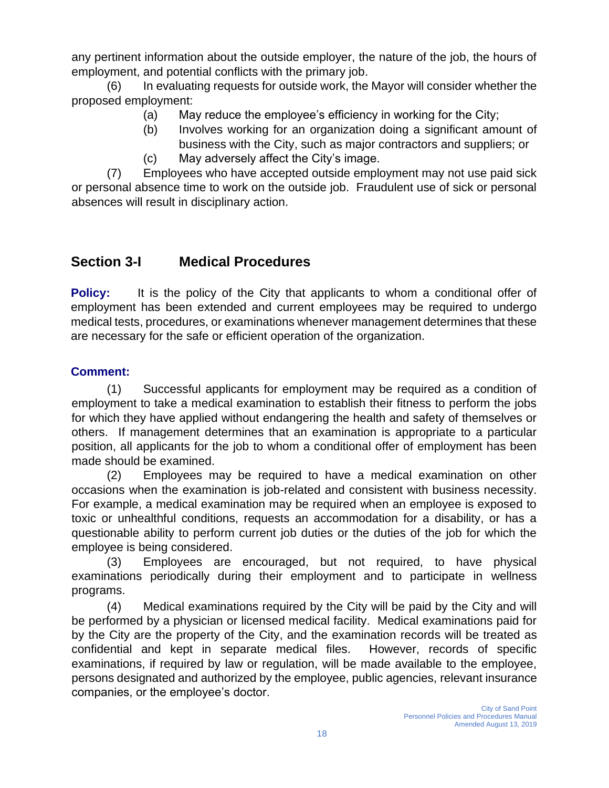any pertinent information about the outside employer, the nature of the job, the hours of employment, and potential conflicts with the primary job.

(6) In evaluating requests for outside work, the Mayor will consider whether the proposed employment:

- (a) May reduce the employee's efficiency in working for the City;
- (b) Involves working for an organization doing a significant amount of business with the City, such as major contractors and suppliers; or
- (c) May adversely affect the City's image.

(7) Employees who have accepted outside employment may not use paid sick or personal absence time to work on the outside job. Fraudulent use of sick or personal absences will result in disciplinary action.

### **Section 3-I Medical Procedures**

**Policy:** It is the policy of the City that applicants to whom a conditional offer of employment has been extended and current employees may be required to undergo medical tests, procedures, or examinations whenever management determines that these are necessary for the safe or efficient operation of the organization.

### **Comment:**

(1) Successful applicants for employment may be required as a condition of employment to take a medical examination to establish their fitness to perform the jobs for which they have applied without endangering the health and safety of themselves or others. If management determines that an examination is appropriate to a particular position, all applicants for the job to whom a conditional offer of employment has been made should be examined.

(2) Employees may be required to have a medical examination on other occasions when the examination is job-related and consistent with business necessity. For example, a medical examination may be required when an employee is exposed to toxic or unhealthful conditions, requests an accommodation for a disability, or has a questionable ability to perform current job duties or the duties of the job for which the employee is being considered.

(3) Employees are encouraged, but not required, to have physical examinations periodically during their employment and to participate in wellness programs.

(4) Medical examinations required by the City will be paid by the City and will be performed by a physician or licensed medical facility. Medical examinations paid for by the City are the property of the City, and the examination records will be treated as confidential and kept in separate medical files. However, records of specific examinations, if required by law or regulation, will be made available to the employee, persons designated and authorized by the employee, public agencies, relevant insurance companies, or the employee's doctor.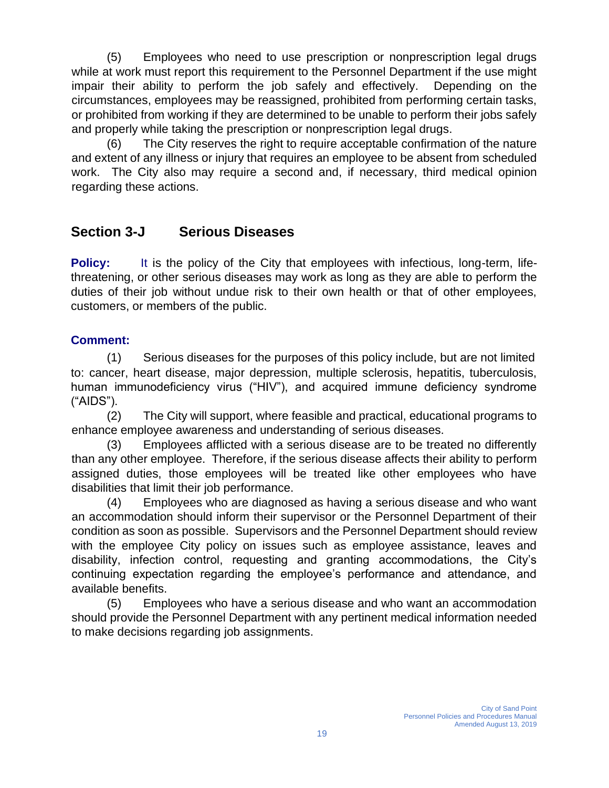(5) Employees who need to use prescription or nonprescription legal drugs while at work must report this requirement to the Personnel Department if the use might impair their ability to perform the job safely and effectively. Depending on the circumstances, employees may be reassigned, prohibited from performing certain tasks, or prohibited from working if they are determined to be unable to perform their jobs safely and properly while taking the prescription or nonprescription legal drugs.

(6) The City reserves the right to require acceptable confirmation of the nature and extent of any illness or injury that requires an employee to be absent from scheduled work. The City also may require a second and, if necessary, third medical opinion regarding these actions.

### **Section 3-J Serious Diseases**

**Policy:** It is the policy of the City that employees with infectious, long-term, lifethreatening, or other serious diseases may work as long as they are able to perform the duties of their job without undue risk to their own health or that of other employees, customers, or members of the public.

#### **Comment:**

(1) Serious diseases for the purposes of this policy include, but are not limited to: cancer, heart disease, major depression, multiple sclerosis, hepatitis, tuberculosis, human immunodeficiency virus ("HIV"), and acquired immune deficiency syndrome ("AIDS").

(2) The City will support, where feasible and practical, educational programs to enhance employee awareness and understanding of serious diseases.

(3) Employees afflicted with a serious disease are to be treated no differently than any other employee. Therefore, if the serious disease affects their ability to perform assigned duties, those employees will be treated like other employees who have disabilities that limit their job performance.

(4) Employees who are diagnosed as having a serious disease and who want an accommodation should inform their supervisor or the Personnel Department of their condition as soon as possible. Supervisors and the Personnel Department should review with the employee City policy on issues such as employee assistance, leaves and disability, infection control, requesting and granting accommodations, the City's continuing expectation regarding the employee's performance and attendance, and available benefits.

(5) Employees who have a serious disease and who want an accommodation should provide the Personnel Department with any pertinent medical information needed to make decisions regarding job assignments.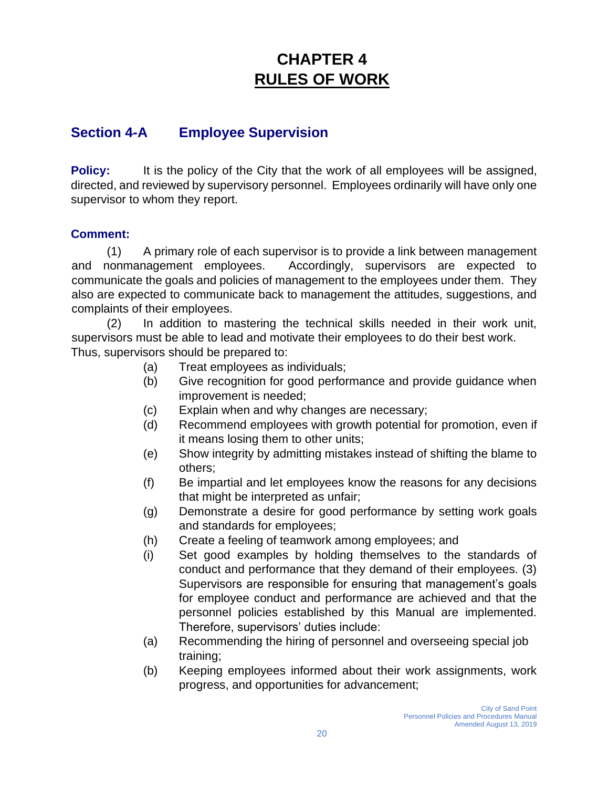# **CHAPTER 4 RULES OF WORK**

### **Section 4-A Employee Supervision**

**Policy:** It is the policy of the City that the work of all employees will be assigned, directed, and reviewed by supervisory personnel. Employees ordinarily will have only one supervisor to whom they report.

#### **Comment:**

(1) A primary role of each supervisor is to provide a link between management and nonmanagement employees. Accordingly, supervisors are expected to communicate the goals and policies of management to the employees under them. They also are expected to communicate back to management the attitudes, suggestions, and complaints of their employees.

(2) In addition to mastering the technical skills needed in their work unit, supervisors must be able to lead and motivate their employees to do their best work. Thus, supervisors should be prepared to:

- (a) Treat employees as individuals;
- (b) Give recognition for good performance and provide guidance when improvement is needed;
- (c) Explain when and why changes are necessary;
- (d) Recommend employees with growth potential for promotion, even if it means losing them to other units;
- (e) Show integrity by admitting mistakes instead of shifting the blame to others;
- (f) Be impartial and let employees know the reasons for any decisions that might be interpreted as unfair;
- (g) Demonstrate a desire for good performance by setting work goals and standards for employees;
- (h) Create a feeling of teamwork among employees; and
- (i) Set good examples by holding themselves to the standards of conduct and performance that they demand of their employees. (3) Supervisors are responsible for ensuring that management's goals for employee conduct and performance are achieved and that the personnel policies established by this Manual are implemented. Therefore, supervisors' duties include:
- (a) Recommending the hiring of personnel and overseeing special job training;
- (b) Keeping employees informed about their work assignments, work progress, and opportunities for advancement;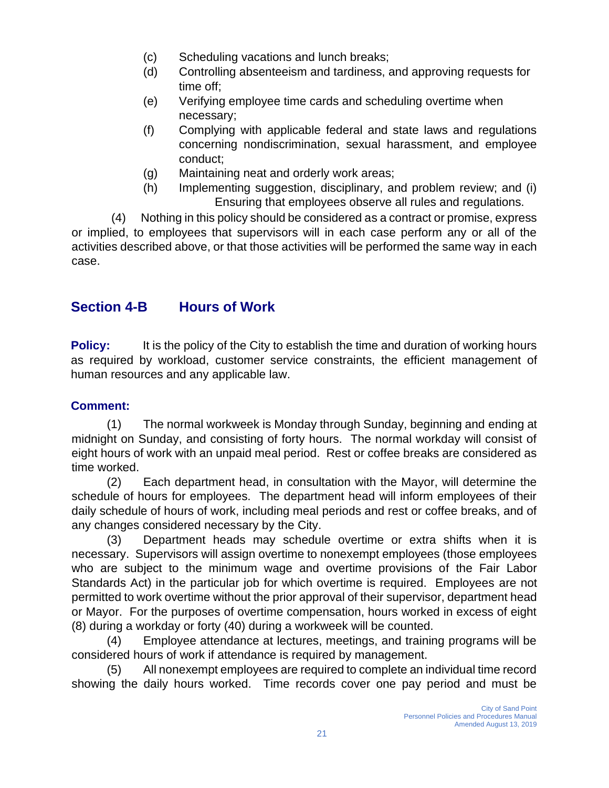- (c) Scheduling vacations and lunch breaks;
- (d) Controlling absenteeism and tardiness, and approving requests for time off;
- (e) Verifying employee time cards and scheduling overtime when necessary;
- (f) Complying with applicable federal and state laws and regulations concerning nondiscrimination, sexual harassment, and employee conduct;
- (g) Maintaining neat and orderly work areas;
- (h) Implementing suggestion, disciplinary, and problem review; and (i) Ensuring that employees observe all rules and regulations.

(4) Nothing in this policy should be considered as a contract or promise, express or implied, to employees that supervisors will in each case perform any or all of the activities described above, or that those activities will be performed the same way in each case.

### **Section 4-B Hours of Work**

**Policy:** It is the policy of the City to establish the time and duration of working hours as required by workload, customer service constraints, the efficient management of human resources and any applicable law.

#### **Comment:**

(1) The normal workweek is Monday through Sunday, beginning and ending at midnight on Sunday, and consisting of forty hours. The normal workday will consist of eight hours of work with an unpaid meal period. Rest or coffee breaks are considered as time worked.

(2) Each department head, in consultation with the Mayor, will determine the schedule of hours for employees. The department head will inform employees of their daily schedule of hours of work, including meal periods and rest or coffee breaks, and of any changes considered necessary by the City.

(3) Department heads may schedule overtime or extra shifts when it is necessary. Supervisors will assign overtime to nonexempt employees (those employees who are subject to the minimum wage and overtime provisions of the Fair Labor Standards Act) in the particular job for which overtime is required. Employees are not permitted to work overtime without the prior approval of their supervisor, department head or Mayor. For the purposes of overtime compensation, hours worked in excess of eight (8) during a workday or forty (40) during a workweek will be counted.

(4) Employee attendance at lectures, meetings, and training programs will be considered hours of work if attendance is required by management.

(5) All nonexempt employees are required to complete an individual time record showing the daily hours worked. Time records cover one pay period and must be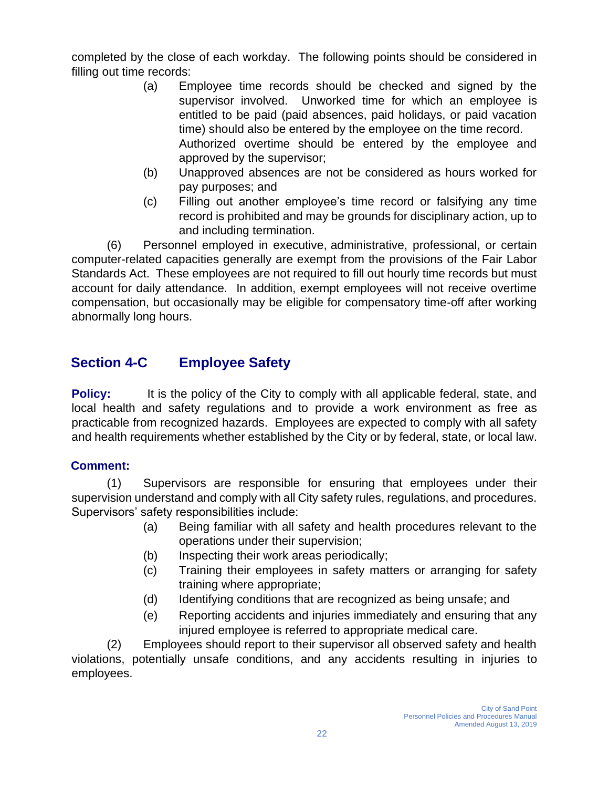completed by the close of each workday. The following points should be considered in filling out time records:

- (a) Employee time records should be checked and signed by the supervisor involved. Unworked time for which an employee is entitled to be paid (paid absences, paid holidays, or paid vacation time) should also be entered by the employee on the time record. Authorized overtime should be entered by the employee and approved by the supervisor;
- (b) Unapproved absences are not be considered as hours worked for pay purposes; and
- (c) Filling out another employee's time record or falsifying any time record is prohibited and may be grounds for disciplinary action, up to and including termination.

(6) Personnel employed in executive, administrative, professional, or certain computer-related capacities generally are exempt from the provisions of the Fair Labor Standards Act. These employees are not required to fill out hourly time records but must account for daily attendance. In addition, exempt employees will not receive overtime compensation, but occasionally may be eligible for compensatory time-off after working abnormally long hours.

### **Section 4-C Employee Safety**

**Policy:** It is the policy of the City to comply with all applicable federal, state, and local health and safety regulations and to provide a work environment as free as practicable from recognized hazards. Employees are expected to comply with all safety and health requirements whether established by the City or by federal, state, or local law.

#### **Comment:**

(1) Supervisors are responsible for ensuring that employees under their supervision understand and comply with all City safety rules, regulations, and procedures. Supervisors' safety responsibilities include:

- (a) Being familiar with all safety and health procedures relevant to the operations under their supervision;
- (b) Inspecting their work areas periodically;
- (c) Training their employees in safety matters or arranging for safety training where appropriate;
- (d) Identifying conditions that are recognized as being unsafe; and
- (e) Reporting accidents and injuries immediately and ensuring that any injured employee is referred to appropriate medical care.

(2) Employees should report to their supervisor all observed safety and health violations, potentially unsafe conditions, and any accidents resulting in injuries to employees.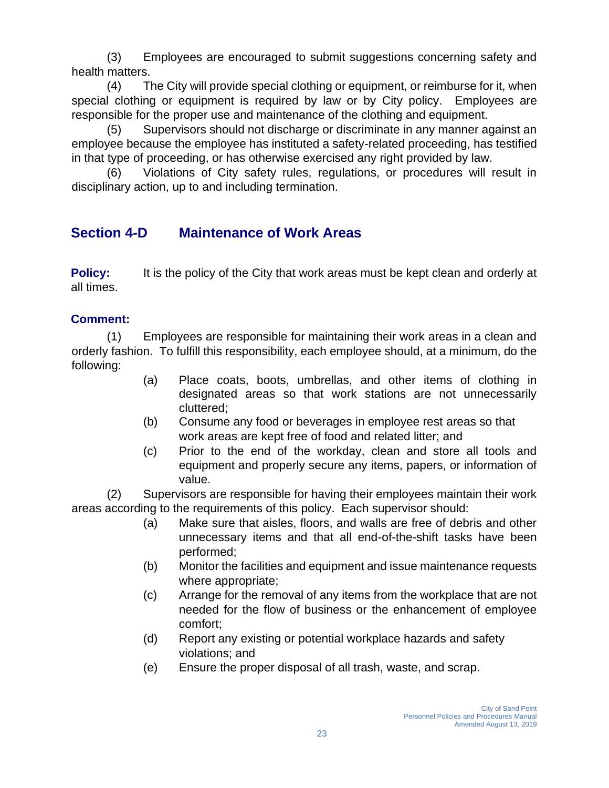(3) Employees are encouraged to submit suggestions concerning safety and health matters.

(4) The City will provide special clothing or equipment, or reimburse for it, when special clothing or equipment is required by law or by City policy. Employees are responsible for the proper use and maintenance of the clothing and equipment.

(5) Supervisors should not discharge or discriminate in any manner against an employee because the employee has instituted a safety-related proceeding, has testified in that type of proceeding, or has otherwise exercised any right provided by law.

(6) Violations of City safety rules, regulations, or procedures will result in disciplinary action, up to and including termination.

### **Section 4-D Maintenance of Work Areas**

**Policy:** It is the policy of the City that work areas must be kept clean and orderly at all times.

#### **Comment:**

(1) Employees are responsible for maintaining their work areas in a clean and orderly fashion. To fulfill this responsibility, each employee should, at a minimum, do the following:

- (a) Place coats, boots, umbrellas, and other items of clothing in designated areas so that work stations are not unnecessarily cluttered;
- (b) Consume any food or beverages in employee rest areas so that work areas are kept free of food and related litter; and
- (c) Prior to the end of the workday, clean and store all tools and equipment and properly secure any items, papers, or information of value.

(2) Supervisors are responsible for having their employees maintain their work areas according to the requirements of this policy. Each supervisor should:

- (a) Make sure that aisles, floors, and walls are free of debris and other unnecessary items and that all end-of-the-shift tasks have been performed;
- (b) Monitor the facilities and equipment and issue maintenance requests where appropriate;
- (c) Arrange for the removal of any items from the workplace that are not needed for the flow of business or the enhancement of employee comfort;
- (d) Report any existing or potential workplace hazards and safety violations; and
- (e) Ensure the proper disposal of all trash, waste, and scrap.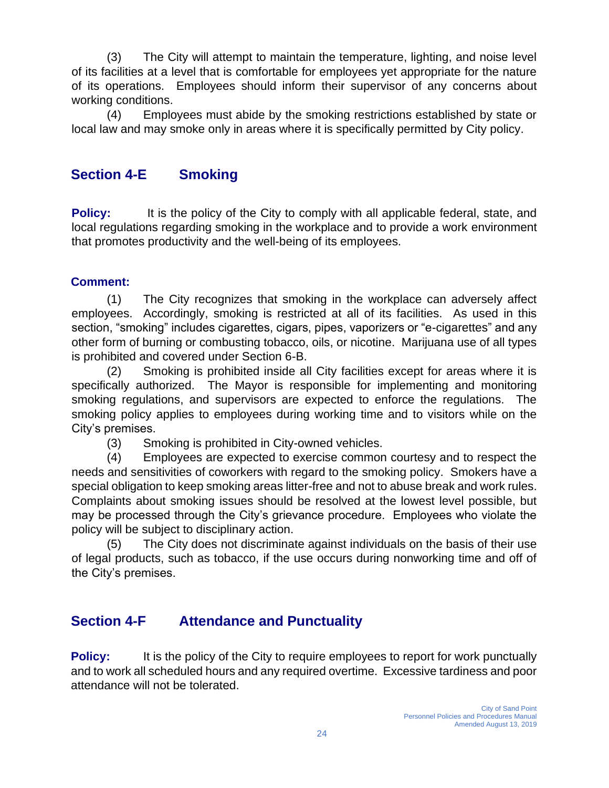(3) The City will attempt to maintain the temperature, lighting, and noise level of its facilities at a level that is comfortable for employees yet appropriate for the nature of its operations. Employees should inform their supervisor of any concerns about working conditions.

(4) Employees must abide by the smoking restrictions established by state or local law and may smoke only in areas where it is specifically permitted by City policy.

### **Section 4-E Smoking**

**Policy:** It is the policy of the City to comply with all applicable federal, state, and local regulations regarding smoking in the workplace and to provide a work environment that promotes productivity and the well-being of its employees.

#### **Comment:**

(1) The City recognizes that smoking in the workplace can adversely affect employees. Accordingly, smoking is restricted at all of its facilities. As used in this section, "smoking" includes cigarettes, cigars, pipes, vaporizers or "e-cigarettes" and any other form of burning or combusting tobacco, oils, or nicotine. Marijuana use of all types is prohibited and covered under Section 6-B.

(2) Smoking is prohibited inside all City facilities except for areas where it is specifically authorized. The Mayor is responsible for implementing and monitoring smoking regulations, and supervisors are expected to enforce the regulations. The smoking policy applies to employees during working time and to visitors while on the City's premises.

(3) Smoking is prohibited in City-owned vehicles.

(4) Employees are expected to exercise common courtesy and to respect the needs and sensitivities of coworkers with regard to the smoking policy. Smokers have a special obligation to keep smoking areas litter-free and not to abuse break and work rules. Complaints about smoking issues should be resolved at the lowest level possible, but may be processed through the City's grievance procedure. Employees who violate the policy will be subject to disciplinary action.

(5) The City does not discriminate against individuals on the basis of their use of legal products, such as tobacco, if the use occurs during nonworking time and off of the City's premises.

### **Section 4-F Attendance and Punctuality**

**Policy:** It is the policy of the City to require employees to report for work punctually and to work all scheduled hours and any required overtime. Excessive tardiness and poor attendance will not be tolerated.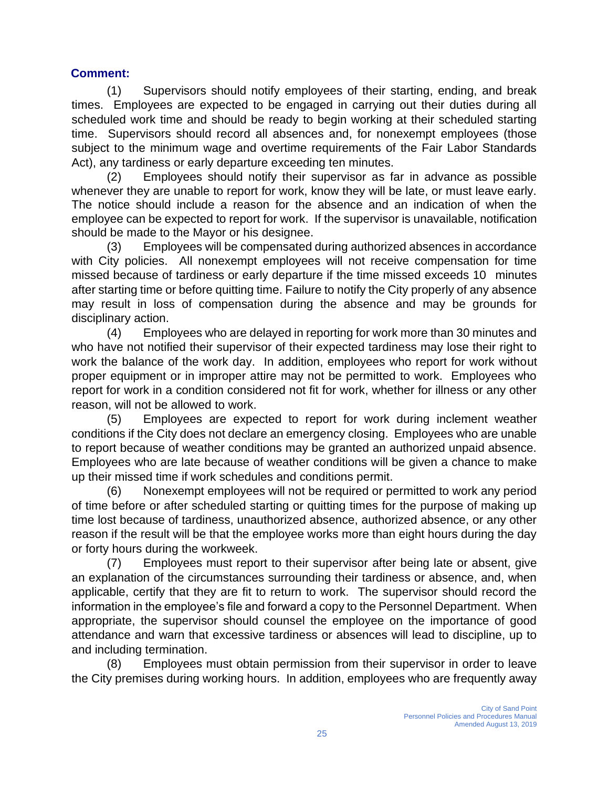#### **Comment:**

(1) Supervisors should notify employees of their starting, ending, and break times. Employees are expected to be engaged in carrying out their duties during all scheduled work time and should be ready to begin working at their scheduled starting time. Supervisors should record all absences and, for nonexempt employees (those subject to the minimum wage and overtime requirements of the Fair Labor Standards Act), any tardiness or early departure exceeding ten minutes.

(2) Employees should notify their supervisor as far in advance as possible whenever they are unable to report for work, know they will be late, or must leave early. The notice should include a reason for the absence and an indication of when the employee can be expected to report for work. If the supervisor is unavailable, notification should be made to the Mayor or his designee.

(3) Employees will be compensated during authorized absences in accordance with City policies. All nonexempt employees will not receive compensation for time missed because of tardiness or early departure if the time missed exceeds 10 minutes after starting time or before quitting time. Failure to notify the City properly of any absence may result in loss of compensation during the absence and may be grounds for disciplinary action.

(4) Employees who are delayed in reporting for work more than 30 minutes and who have not notified their supervisor of their expected tardiness may lose their right to work the balance of the work day. In addition, employees who report for work without proper equipment or in improper attire may not be permitted to work. Employees who report for work in a condition considered not fit for work, whether for illness or any other reason, will not be allowed to work.

(5) Employees are expected to report for work during inclement weather conditions if the City does not declare an emergency closing. Employees who are unable to report because of weather conditions may be granted an authorized unpaid absence. Employees who are late because of weather conditions will be given a chance to make up their missed time if work schedules and conditions permit.

(6) Nonexempt employees will not be required or permitted to work any period of time before or after scheduled starting or quitting times for the purpose of making up time lost because of tardiness, unauthorized absence, authorized absence, or any other reason if the result will be that the employee works more than eight hours during the day or forty hours during the workweek.

(7) Employees must report to their supervisor after being late or absent, give an explanation of the circumstances surrounding their tardiness or absence, and, when applicable, certify that they are fit to return to work. The supervisor should record the information in the employee's file and forward a copy to the Personnel Department. When appropriate, the supervisor should counsel the employee on the importance of good attendance and warn that excessive tardiness or absences will lead to discipline, up to and including termination.

(8) Employees must obtain permission from their supervisor in order to leave the City premises during working hours. In addition, employees who are frequently away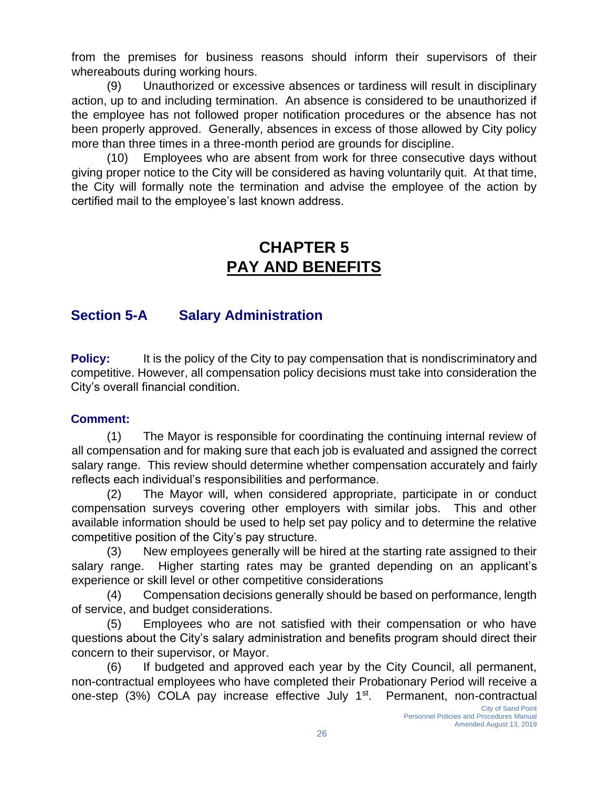from the premises for business reasons should inform their supervisors of their whereabouts during working hours.

(9) Unauthorized or excessive absences or tardiness will result in disciplinary action, up to and including termination. An absence is considered to be unauthorized if the employee has not followed proper notification procedures or the absence has not been properly approved. Generally, absences in excess of those allowed by City policy more than three times in a three-month period are grounds for discipline.

(10) Employees who are absent from work for three consecutive days without giving proper notice to the City will be considered as having voluntarily quit. At that time, the City will formally note the termination and advise the employee of the action by certified mail to the employee's last known address.

# **CHAPTER 5 PAY AND BENEFITS**

### **Section 5-A Salary Administration**

**Policy:** It is the policy of the City to pay compensation that is nondiscriminatory and competitive. However, all compensation policy decisions must take into consideration the City's overall financial condition.

#### **Comment:**

(1) The Mayor is responsible for coordinating the continuing internal review of all compensation and for making sure that each job is evaluated and assigned the correct salary range. This review should determine whether compensation accurately and fairly reflects each individual's responsibilities and performance.

(2) The Mayor will, when considered appropriate, participate in or conduct compensation surveys covering other employers with similar jobs. This and other available information should be used to help set pay policy and to determine the relative competitive position of the City's pay structure.

(3) New employees generally will be hired at the starting rate assigned to their salary range. Higher starting rates may be granted depending on an applicant's experience or skill level or other competitive considerations

(4) Compensation decisions generally should be based on performance, length of service, and budget considerations.

(5) Employees who are not satisfied with their compensation or who have questions about the City's salary administration and benefits program should direct their concern to their supervisor, or Mayor.

(6) If budgeted and approved each year by the City Council, all permanent, non-contractual employees who have completed their Probationary Period will receive a one-step (3%) COLA pay increase effective July 1<sup>st</sup>. Permanent, non-contractual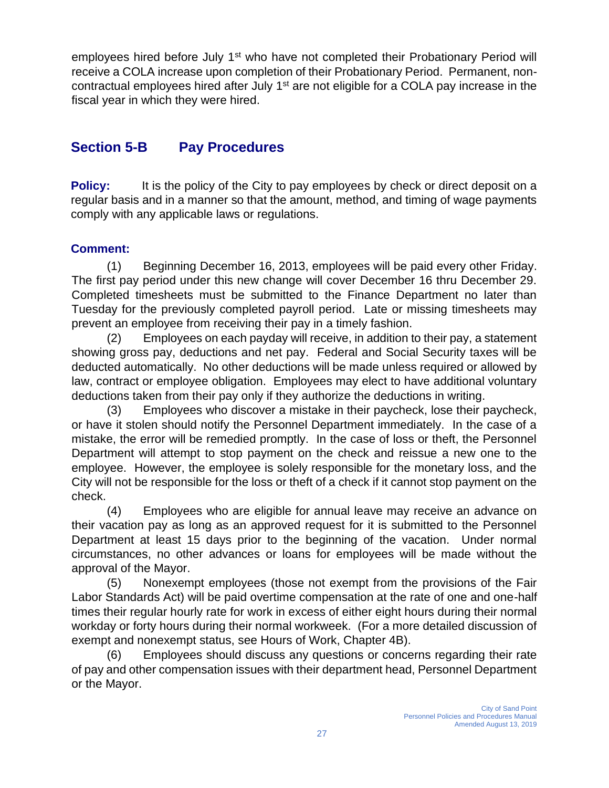employees hired before July 1<sup>st</sup> who have not completed their Probationary Period will receive a COLA increase upon completion of their Probationary Period. Permanent, noncontractual employees hired after July  $1<sup>st</sup>$  are not eligible for a COLA pay increase in the fiscal year in which they were hired.

### **Section 5-B Pay Procedures**

**Policy:** It is the policy of the City to pay employees by check or direct deposit on a regular basis and in a manner so that the amount, method, and timing of wage payments comply with any applicable laws or regulations.

#### **Comment:**

(1) Beginning December 16, 2013, employees will be paid every other Friday. The first pay period under this new change will cover December 16 thru December 29. Completed timesheets must be submitted to the Finance Department no later than Tuesday for the previously completed payroll period. Late or missing timesheets may prevent an employee from receiving their pay in a timely fashion.

(2) Employees on each payday will receive, in addition to their pay, a statement showing gross pay, deductions and net pay. Federal and Social Security taxes will be deducted automatically. No other deductions will be made unless required or allowed by law, contract or employee obligation. Employees may elect to have additional voluntary deductions taken from their pay only if they authorize the deductions in writing.

(3) Employees who discover a mistake in their paycheck, lose their paycheck, or have it stolen should notify the Personnel Department immediately. In the case of a mistake, the error will be remedied promptly. In the case of loss or theft, the Personnel Department will attempt to stop payment on the check and reissue a new one to the employee. However, the employee is solely responsible for the monetary loss, and the City will not be responsible for the loss or theft of a check if it cannot stop payment on the check.

(4) Employees who are eligible for annual leave may receive an advance on their vacation pay as long as an approved request for it is submitted to the Personnel Department at least 15 days prior to the beginning of the vacation. Under normal circumstances, no other advances or loans for employees will be made without the approval of the Mayor.

(5) Nonexempt employees (those not exempt from the provisions of the Fair Labor Standards Act) will be paid overtime compensation at the rate of one and one-half times their regular hourly rate for work in excess of either eight hours during their normal workday or forty hours during their normal workweek. (For a more detailed discussion of exempt and nonexempt status, see Hours of Work, Chapter 4B).

(6) Employees should discuss any questions or concerns regarding their rate of pay and other compensation issues with their department head, Personnel Department or the Mayor.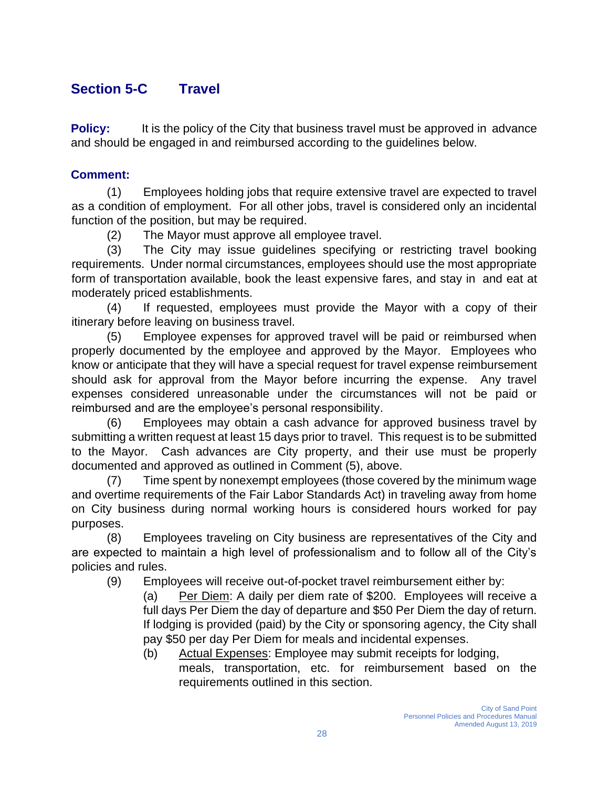### **Section 5-C Travel**

**Policy:** It is the policy of the City that business travel must be approved in advance and should be engaged in and reimbursed according to the guidelines below.

#### **Comment:**

(1) Employees holding jobs that require extensive travel are expected to travel as a condition of employment. For all other jobs, travel is considered only an incidental function of the position, but may be required.

(2) The Mayor must approve all employee travel.

(3) The City may issue guidelines specifying or restricting travel booking requirements. Under normal circumstances, employees should use the most appropriate form of transportation available, book the least expensive fares, and stay in and eat at moderately priced establishments.

(4) If requested, employees must provide the Mayor with a copy of their itinerary before leaving on business travel.

(5) Employee expenses for approved travel will be paid or reimbursed when properly documented by the employee and approved by the Mayor. Employees who know or anticipate that they will have a special request for travel expense reimbursement should ask for approval from the Mayor before incurring the expense. Any travel expenses considered unreasonable under the circumstances will not be paid or reimbursed and are the employee's personal responsibility.

(6) Employees may obtain a cash advance for approved business travel by submitting a written request at least 15 days prior to travel. This request is to be submitted to the Mayor. Cash advances are City property, and their use must be properly documented and approved as outlined in Comment (5), above.

(7) Time spent by nonexempt employees (those covered by the minimum wage and overtime requirements of the Fair Labor Standards Act) in traveling away from home on City business during normal working hours is considered hours worked for pay purposes.

(8) Employees traveling on City business are representatives of the City and are expected to maintain a high level of professionalism and to follow all of the City's policies and rules.

(9) Employees will receive out-of-pocket travel reimbursement either by:

(a) Per Diem: A daily per diem rate of \$200. Employees will receive a full days Per Diem the day of departure and \$50 Per Diem the day of return. If lodging is provided (paid) by the City or sponsoring agency, the City shall pay \$50 per day Per Diem for meals and incidental expenses.

- (b) Actual Expenses: Employee may submit receipts for lodging,
	- meals, transportation, etc. for reimbursement based on the requirements outlined in this section.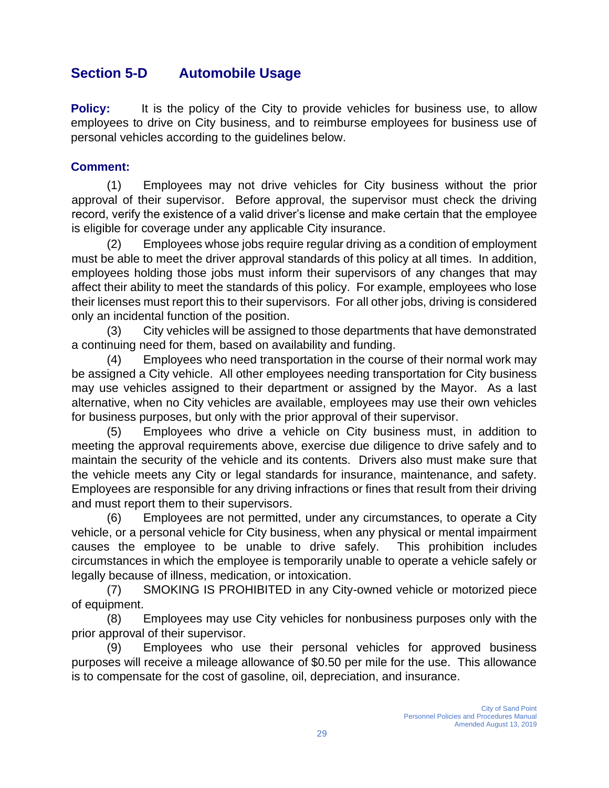### **Section 5-D Automobile Usage**

**Policy:** It is the policy of the City to provide vehicles for business use, to allow employees to drive on City business, and to reimburse employees for business use of personal vehicles according to the guidelines below.

#### **Comment:**

(1) Employees may not drive vehicles for City business without the prior approval of their supervisor. Before approval, the supervisor must check the driving record, verify the existence of a valid driver's license and make certain that the employee is eligible for coverage under any applicable City insurance.

(2) Employees whose jobs require regular driving as a condition of employment must be able to meet the driver approval standards of this policy at all times. In addition, employees holding those jobs must inform their supervisors of any changes that may affect their ability to meet the standards of this policy. For example, employees who lose their licenses must report this to their supervisors. For all other jobs, driving is considered only an incidental function of the position.

(3) City vehicles will be assigned to those departments that have demonstrated a continuing need for them, based on availability and funding.

(4) Employees who need transportation in the course of their normal work may be assigned a City vehicle. All other employees needing transportation for City business may use vehicles assigned to their department or assigned by the Mayor. As a last alternative, when no City vehicles are available, employees may use their own vehicles for business purposes, but only with the prior approval of their supervisor.

(5) Employees who drive a vehicle on City business must, in addition to meeting the approval requirements above, exercise due diligence to drive safely and to maintain the security of the vehicle and its contents. Drivers also must make sure that the vehicle meets any City or legal standards for insurance, maintenance, and safety. Employees are responsible for any driving infractions or fines that result from their driving and must report them to their supervisors.

(6) Employees are not permitted, under any circumstances, to operate a City vehicle, or a personal vehicle for City business, when any physical or mental impairment causes the employee to be unable to drive safely. This prohibition includes circumstances in which the employee is temporarily unable to operate a vehicle safely or legally because of illness, medication, or intoxication.

(7) SMOKING IS PROHIBITED in any City-owned vehicle or motorized piece of equipment.

(8) Employees may use City vehicles for nonbusiness purposes only with the prior approval of their supervisor.

(9) Employees who use their personal vehicles for approved business purposes will receive a mileage allowance of \$0.50 per mile for the use. This allowance is to compensate for the cost of gasoline, oil, depreciation, and insurance.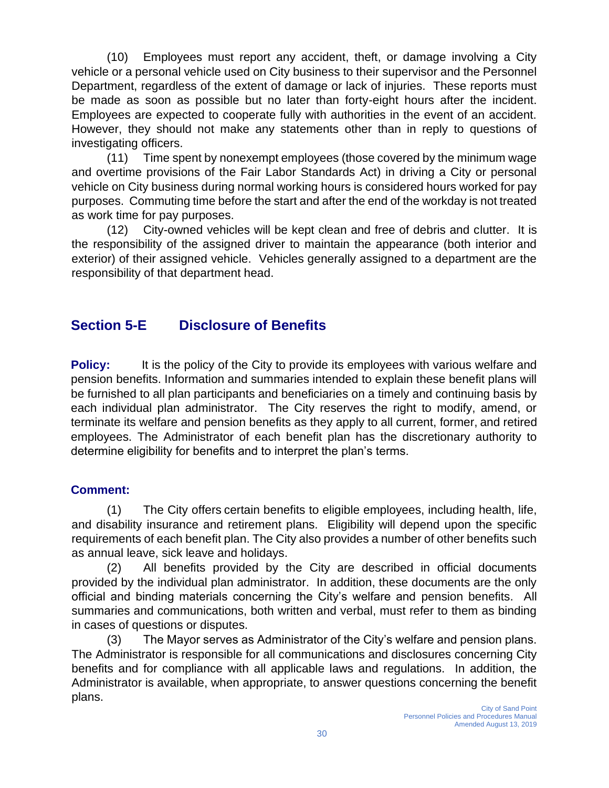(10) Employees must report any accident, theft, or damage involving a City vehicle or a personal vehicle used on City business to their supervisor and the Personnel Department, regardless of the extent of damage or lack of injuries. These reports must be made as soon as possible but no later than forty-eight hours after the incident. Employees are expected to cooperate fully with authorities in the event of an accident. However, they should not make any statements other than in reply to questions of investigating officers.

(11) Time spent by nonexempt employees (those covered by the minimum wage and overtime provisions of the Fair Labor Standards Act) in driving a City or personal vehicle on City business during normal working hours is considered hours worked for pay purposes. Commuting time before the start and after the end of the workday is not treated as work time for pay purposes.

(12) City-owned vehicles will be kept clean and free of debris and clutter. It is the responsibility of the assigned driver to maintain the appearance (both interior and exterior) of their assigned vehicle. Vehicles generally assigned to a department are the responsibility of that department head.

### **Section 5-E Disclosure of Benefits**

**Policy:** It is the policy of the City to provide its employees with various welfare and pension benefits. Information and summaries intended to explain these benefit plans will be furnished to all plan participants and beneficiaries on a timely and continuing basis by each individual plan administrator. The City reserves the right to modify, amend, or terminate its welfare and pension benefits as they apply to all current, former, and retired employees. The Administrator of each benefit plan has the discretionary authority to determine eligibility for benefits and to interpret the plan's terms.

#### **Comment:**

(1) The City offers certain benefits to eligible employees, including health, life, and disability insurance and retirement plans. Eligibility will depend upon the specific requirements of each benefit plan. The City also provides a number of other benefits such as annual leave, sick leave and holidays.

(2) All benefits provided by the City are described in official documents provided by the individual plan administrator. In addition, these documents are the only official and binding materials concerning the City's welfare and pension benefits. All summaries and communications, both written and verbal, must refer to them as binding in cases of questions or disputes.

(3) The Mayor serves as Administrator of the City's welfare and pension plans. The Administrator is responsible for all communications and disclosures concerning City benefits and for compliance with all applicable laws and regulations. In addition, the Administrator is available, when appropriate, to answer questions concerning the benefit plans.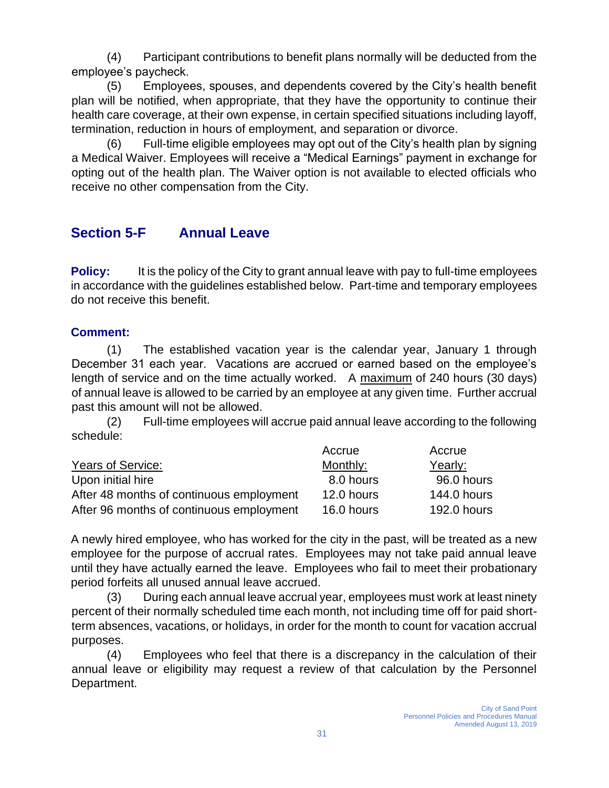(4) Participant contributions to benefit plans normally will be deducted from the employee's paycheck.

(5) Employees, spouses, and dependents covered by the City's health benefit plan will be notified, when appropriate, that they have the opportunity to continue their health care coverage, at their own expense, in certain specified situations including layoff, termination, reduction in hours of employment, and separation or divorce.

Full-time eligible employees may opt out of the City's health plan by signing a Medical Waiver. Employees will receive a "Medical Earnings" payment in exchange for opting out of the health plan. The Waiver option is not available to elected officials who receive no other compensation from the City.

### **Section 5-F Annual Leave**

**Policy:** It is the policy of the City to grant annual leave with pay to full-time employees in accordance with the guidelines established below. Part-time and temporary employees do not receive this benefit.

#### **Comment:**

(1) The established vacation year is the calendar year, January 1 through December 31 each year. Vacations are accrued or earned based on the employee's length of service and on the time actually worked. A maximum of 240 hours (30 days) of annual leave is allowed to be carried by an employee at any given time. Further accrual past this amount will not be allowed.

(2) Full-time employees will accrue paid annual leave according to the following schedule:

|                                          | Accrue     | Accrue             |
|------------------------------------------|------------|--------------------|
| Years of Service:                        | Monthly:   | Yearly:            |
| Upon initial hire                        | 8.0 hours  | 96.0 hours         |
| After 48 months of continuous employment | 12.0 hours | <b>144.0 hours</b> |
| After 96 months of continuous employment | 16.0 hours | <b>192.0 hours</b> |

A newly hired employee, who has worked for the city in the past, will be treated as a new employee for the purpose of accrual rates. Employees may not take paid annual leave until they have actually earned the leave. Employees who fail to meet their probationary period forfeits all unused annual leave accrued.

(3) During each annual leave accrual year, employees must work at least ninety percent of their normally scheduled time each month, not including time off for paid shortterm absences, vacations, or holidays, in order for the month to count for vacation accrual purposes.

(4) Employees who feel that there is a discrepancy in the calculation of their annual leave or eligibility may request a review of that calculation by the Personnel Department.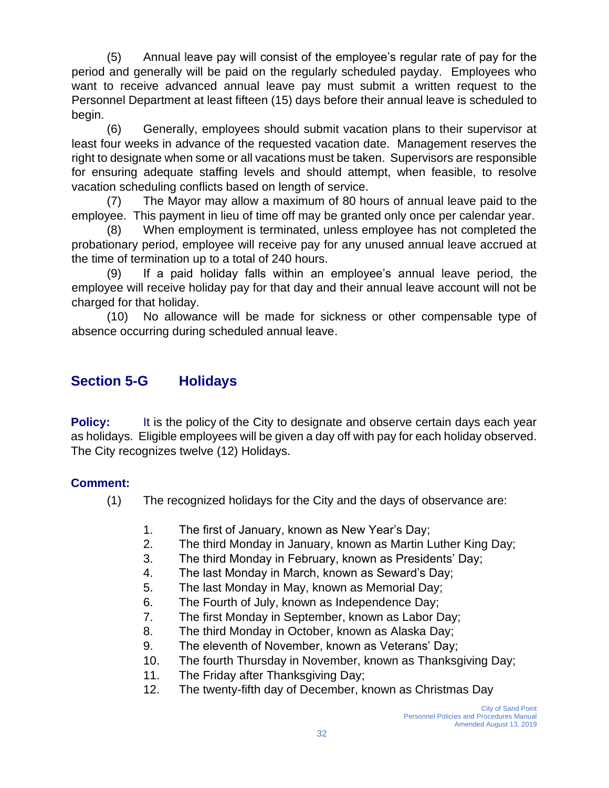(5) Annual leave pay will consist of the employee's regular rate of pay for the period and generally will be paid on the regularly scheduled payday. Employees who want to receive advanced annual leave pay must submit a written request to the Personnel Department at least fifteen (15) days before their annual leave is scheduled to begin.

(6) Generally, employees should submit vacation plans to their supervisor at least four weeks in advance of the requested vacation date. Management reserves the right to designate when some or all vacations must be taken. Supervisors are responsible for ensuring adequate staffing levels and should attempt, when feasible, to resolve vacation scheduling conflicts based on length of service.

(7) The Mayor may allow a maximum of 80 hours of annual leave paid to the employee. This payment in lieu of time off may be granted only once per calendar year.

(8) When employment is terminated, unless employee has not completed the probationary period, employee will receive pay for any unused annual leave accrued at the time of termination up to a total of 240 hours.

(9) If a paid holiday falls within an employee's annual leave period, the employee will receive holiday pay for that day and their annual leave account will not be charged for that holiday.

(10) No allowance will be made for sickness or other compensable type of absence occurring during scheduled annual leave.

### **Section 5-G Holidays**

**Policy:** It is the policy of the City to designate and observe certain days each year as holidays. Eligible employees will be given a day off with pay for each holiday observed. The City recognizes twelve (12) Holidays.

### **Comment:**

- (1) The recognized holidays for the City and the days of observance are:
	- 1. The first of January, known as New Year's Day;
	- 2. The third Monday in January, known as Martin Luther King Day;
	- 3. The third Monday in February, known as Presidents' Day;
	- 4. The last Monday in March, known as Seward's Day;
	- 5. The last Monday in May, known as Memorial Day;
	- 6. The Fourth of July, known as Independence Day;
	- 7. The first Monday in September, known as Labor Day;
	- 8. The third Monday in October, known as Alaska Day;
	- 9. The eleventh of November, known as Veterans' Day;
	- 10. The fourth Thursday in November, known as Thanksgiving Day;
	- 11. The Friday after Thanksgiving Day;
	- 12. The twenty-fifth day of December, known as Christmas Day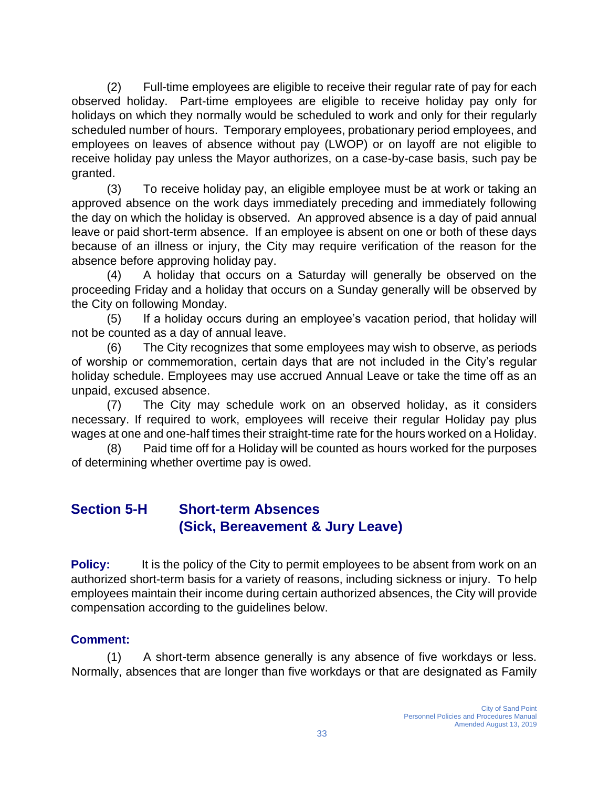(2) Full-time employees are eligible to receive their regular rate of pay for each observed holiday. Part-time employees are eligible to receive holiday pay only for holidays on which they normally would be scheduled to work and only for their regularly scheduled number of hours. Temporary employees, probationary period employees, and employees on leaves of absence without pay (LWOP) or on layoff are not eligible to receive holiday pay unless the Mayor authorizes, on a case-by-case basis, such pay be granted.

(3) To receive holiday pay, an eligible employee must be at work or taking an approved absence on the work days immediately preceding and immediately following the day on which the holiday is observed. An approved absence is a day of paid annual leave or paid short-term absence. If an employee is absent on one or both of these days because of an illness or injury, the City may require verification of the reason for the absence before approving holiday pay.

(4) A holiday that occurs on a Saturday will generally be observed on the proceeding Friday and a holiday that occurs on a Sunday generally will be observed by the City on following Monday.

(5) If a holiday occurs during an employee's vacation period, that holiday will not be counted as a day of annual leave.

(6) The City recognizes that some employees may wish to observe, as periods of worship or commemoration, certain days that are not included in the City's regular holiday schedule. Employees may use accrued Annual Leave or take the time off as an unpaid, excused absence.

(7) The City may schedule work on an observed holiday, as it considers necessary. If required to work, employees will receive their regular Holiday pay plus wages at one and one-half times their straight-time rate for the hours worked on a Holiday.

(8) Paid time off for a Holiday will be counted as hours worked for the purposes of determining whether overtime pay is owed.

### **Section 5-H Short-term Absences (Sick, Bereavement & Jury Leave)**

**Policy:** It is the policy of the City to permit employees to be absent from work on an authorized short-term basis for a variety of reasons, including sickness or injury. To help employees maintain their income during certain authorized absences, the City will provide compensation according to the guidelines below.

### **Comment:**

(1) A short-term absence generally is any absence of five workdays or less. Normally, absences that are longer than five workdays or that are designated as Family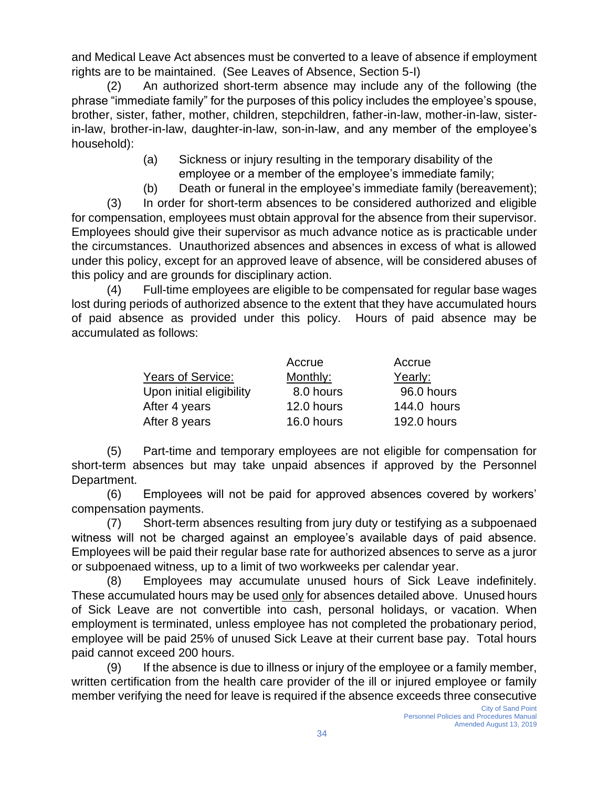and Medical Leave Act absences must be converted to a leave of absence if employment rights are to be maintained. (See Leaves of Absence, Section 5-I)

(2) An authorized short-term absence may include any of the following (the phrase "immediate family" for the purposes of this policy includes the employee's spouse, brother, sister, father, mother, children, stepchildren, father-in-law, mother-in-law, sisterin-law, brother-in-law, daughter-in-law, son-in-law, and any member of the employee's household):

- (a) Sickness or injury resulting in the temporary disability of the employee or a member of the employee's immediate family;
- (b) Death or funeral in the employee's immediate family (bereavement);

(3) In order for short-term absences to be considered authorized and eligible for compensation, employees must obtain approval for the absence from their supervisor. Employees should give their supervisor as much advance notice as is practicable under the circumstances. Unauthorized absences and absences in excess of what is allowed under this policy, except for an approved leave of absence, will be considered abuses of this policy and are grounds for disciplinary action.

(4) Full-time employees are eligible to be compensated for regular base wages lost during periods of authorized absence to the extent that they have accumulated hours of paid absence as provided under this policy. Hours of paid absence may be accumulated as follows:

|                          | Accrue     | Accrue      |
|--------------------------|------------|-------------|
| Years of Service:        | Monthly:   | Yearly:     |
| Upon initial eligibility | 8.0 hours  | 96.0 hours  |
| After 4 years            | 12.0 hours | 144.0 hours |
| After 8 years            | 16.0 hours | 192.0 hours |

(5) Part-time and temporary employees are not eligible for compensation for short-term absences but may take unpaid absences if approved by the Personnel Department.

(6) Employees will not be paid for approved absences covered by workers' compensation payments.

(7) Short-term absences resulting from jury duty or testifying as a subpoenaed witness will not be charged against an employee's available days of paid absence. Employees will be paid their regular base rate for authorized absences to serve as a juror or subpoenaed witness, up to a limit of two workweeks per calendar year.

(8) Employees may accumulate unused hours of Sick Leave indefinitely. These accumulated hours may be used only for absences detailed above. Unused hours of Sick Leave are not convertible into cash, personal holidays, or vacation. When employment is terminated, unless employee has not completed the probationary period, employee will be paid 25% of unused Sick Leave at their current base pay. Total hours paid cannot exceed 200 hours.

(9) If the absence is due to illness or injury of the employee or a family member, written certification from the health care provider of the ill or injured employee or family member verifying the need for leave is required if the absence exceeds three consecutive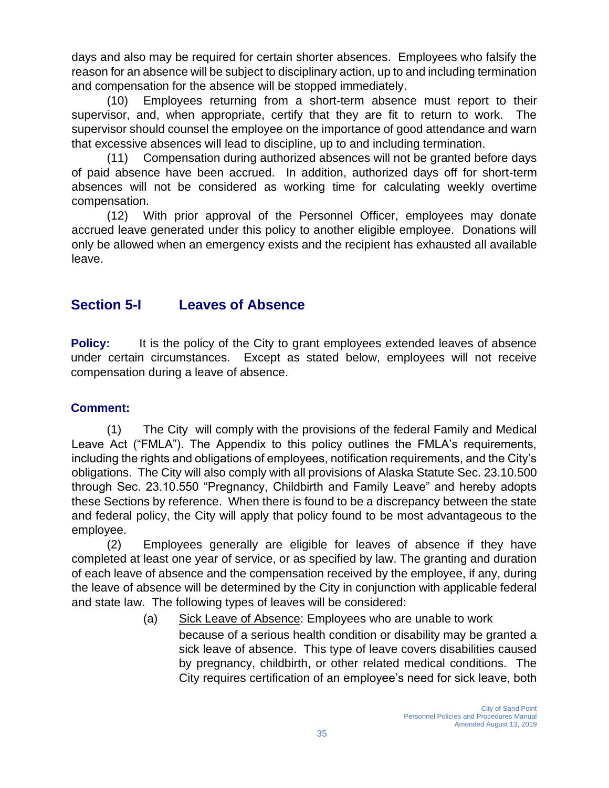days and also may be required for certain shorter absences. Employees who falsify the reason for an absence will be subject to disciplinary action, up to and including termination and compensation for the absence will be stopped immediately.

(10) Employees returning from a short-term absence must report to their supervisor, and, when appropriate, certify that they are fit to return to work. The supervisor should counsel the employee on the importance of good attendance and warn that excessive absences will lead to discipline, up to and including termination.

(11) Compensation during authorized absences will not be granted before days of paid absence have been accrued. In addition, authorized days off for short-term absences will not be considered as working time for calculating weekly overtime compensation.

(12) With prior approval of the Personnel Officer, employees may donate accrued leave generated under this policy to another eligible employee. Donations will only be allowed when an emergency exists and the recipient has exhausted all available leave.

### **Section 5-I Leaves of Absence**

**Policy:** It is the policy of the City to grant employees extended leaves of absence under certain circumstances. Except as stated below, employees will not receive compensation during a leave of absence.

#### **Comment:**

(1) The City will comply with the provisions of the federal Family and Medical Leave Act ("FMLA"). The Appendix to this policy outlines the FMLA's requirements, including the rights and obligations of employees, notification requirements, and the City's obligations. The City will also comply with all provisions of Alaska Statute Sec. 23.10.500 through Sec. 23.10.550 "Pregnancy, Childbirth and Family Leave" and hereby adopts these Sections by reference. When there is found to be a discrepancy between the state and federal policy, the City will apply that policy found to be most advantageous to the employee.

(2) Employees generally are eligible for leaves of absence if they have completed at least one year of service, or as specified by law. The granting and duration of each leave of absence and the compensation received by the employee, if any, during the leave of absence will be determined by the City in conjunction with applicable federal and state law. The following types of leaves will be considered:

(a) Sick Leave of Absence: Employees who are unable to work

because of a serious health condition or disability may be granted a sick leave of absence. This type of leave covers disabilities caused by pregnancy, childbirth, or other related medical conditions. The City requires certification of an employee's need for sick leave, both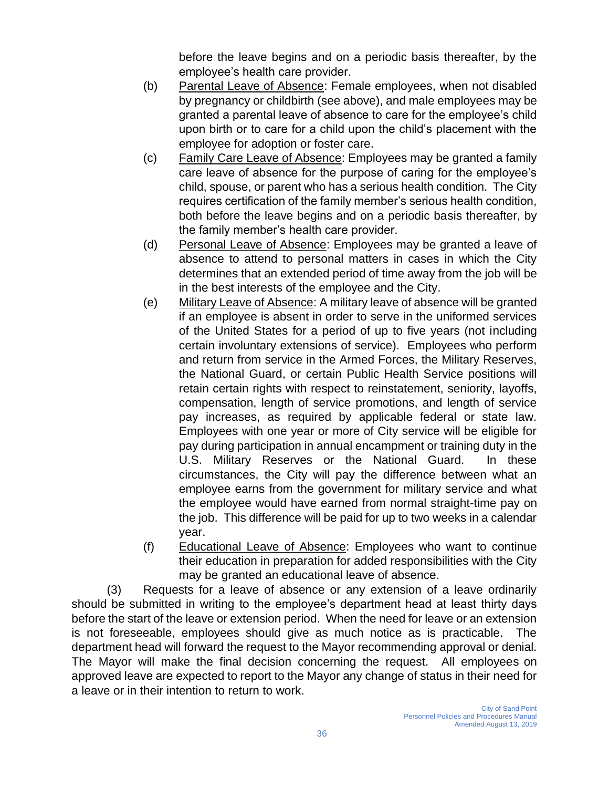before the leave begins and on a periodic basis thereafter, by the employee's health care provider.

- (b) Parental Leave of Absence: Female employees, when not disabled by pregnancy or childbirth (see above), and male employees may be granted a parental leave of absence to care for the employee's child upon birth or to care for a child upon the child's placement with the employee for adoption or foster care.
- (c) Family Care Leave of Absence: Employees may be granted a family care leave of absence for the purpose of caring for the employee's child, spouse, or parent who has a serious health condition. The City requires certification of the family member's serious health condition, both before the leave begins and on a periodic basis thereafter, by the family member's health care provider.
- (d) Personal Leave of Absence: Employees may be granted a leave of absence to attend to personal matters in cases in which the City determines that an extended period of time away from the job will be in the best interests of the employee and the City.
- (e) Military Leave of Absence: A military leave of absence will be granted if an employee is absent in order to serve in the uniformed services of the United States for a period of up to five years (not including certain involuntary extensions of service). Employees who perform and return from service in the Armed Forces, the Military Reserves, the National Guard, or certain Public Health Service positions will retain certain rights with respect to reinstatement, seniority, layoffs, compensation, length of service promotions, and length of service pay increases, as required by applicable federal or state law. Employees with one year or more of City service will be eligible for pay during participation in annual encampment or training duty in the U.S. Military Reserves or the National Guard. In these circumstances, the City will pay the difference between what an employee earns from the government for military service and what the employee would have earned from normal straight-time pay on the job. This difference will be paid for up to two weeks in a calendar year.
- (f) Educational Leave of Absence: Employees who want to continue their education in preparation for added responsibilities with the City may be granted an educational leave of absence.

(3) Requests for a leave of absence or any extension of a leave ordinarily should be submitted in writing to the employee's department head at least thirty days before the start of the leave or extension period. When the need for leave or an extension is not foreseeable, employees should give as much notice as is practicable. The department head will forward the request to the Mayor recommending approval or denial. The Mayor will make the final decision concerning the request. All employees on approved leave are expected to report to the Mayor any change of status in their need for a leave or in their intention to return to work.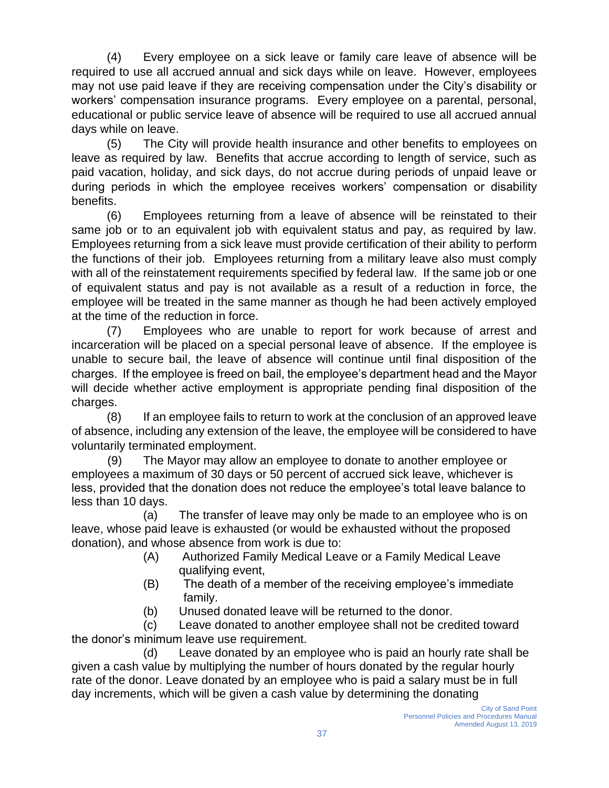(4) Every employee on a sick leave or family care leave of absence will be required to use all accrued annual and sick days while on leave. However, employees may not use paid leave if they are receiving compensation under the City's disability or workers' compensation insurance programs. Every employee on a parental, personal, educational or public service leave of absence will be required to use all accrued annual days while on leave.

(5) The City will provide health insurance and other benefits to employees on leave as required by law. Benefits that accrue according to length of service, such as paid vacation, holiday, and sick days, do not accrue during periods of unpaid leave or during periods in which the employee receives workers' compensation or disability benefits.

(6) Employees returning from a leave of absence will be reinstated to their same job or to an equivalent job with equivalent status and pay, as required by law. Employees returning from a sick leave must provide certification of their ability to perform the functions of their job. Employees returning from a military leave also must comply with all of the reinstatement requirements specified by federal law. If the same job or one of equivalent status and pay is not available as a result of a reduction in force, the employee will be treated in the same manner as though he had been actively employed at the time of the reduction in force.

(7) Employees who are unable to report for work because of arrest and incarceration will be placed on a special personal leave of absence. If the employee is unable to secure bail, the leave of absence will continue until final disposition of the charges. If the employee is freed on bail, the employee's department head and the Mayor will decide whether active employment is appropriate pending final disposition of the charges.

(8) If an employee fails to return to work at the conclusion of an approved leave of absence, including any extension of the leave, the employee will be considered to have voluntarily terminated employment.

(9) The Mayor may allow an employee to donate to another employee or employees a maximum of 30 days or 50 percent of accrued sick leave, whichever is less, provided that the donation does not reduce the employee's total leave balance to less than 10 days.

(a) The transfer of leave may only be made to an employee who is on leave, whose paid leave is exhausted (or would be exhausted without the proposed donation), and whose absence from work is due to:

- (A) Authorized Family Medical Leave or a Family Medical Leave qualifying event,
- (B) The death of a member of the receiving employee's immediate family.
- (b) Unused donated leave will be returned to the donor.

(c) Leave donated to another employee shall not be credited toward the donor's minimum leave use requirement.

(d) Leave donated by an employee who is paid an hourly rate shall be given a cash value by multiplying the number of hours donated by the regular hourly rate of the donor. Leave donated by an employee who is paid a salary must be in full day increments, which will be given a cash value by determining the donating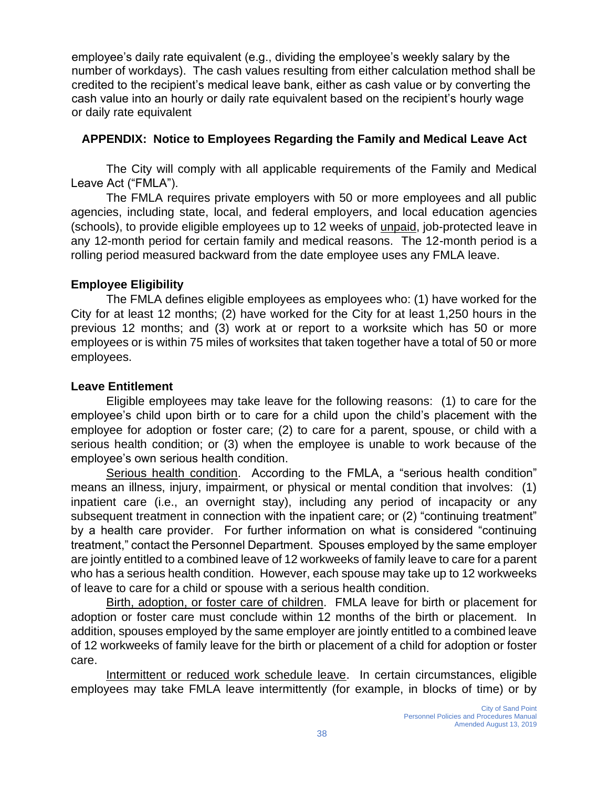employee's daily rate equivalent (e.g., dividing the employee's weekly salary by the number of workdays). The cash values resulting from either calculation method shall be credited to the recipient's medical leave bank, either as cash value or by converting the cash value into an hourly or daily rate equivalent based on the recipient's hourly wage or daily rate equivalent

#### **APPENDIX: Notice to Employees Regarding the Family and Medical Leave Act**

The City will comply with all applicable requirements of the Family and Medical Leave Act ("FMLA").

The FMLA requires private employers with 50 or more employees and all public agencies, including state, local, and federal employers, and local education agencies (schools), to provide eligible employees up to 12 weeks of unpaid, job-protected leave in any 12-month period for certain family and medical reasons. The 12-month period is a rolling period measured backward from the date employee uses any FMLA leave.

#### **Employee Eligibility**

The FMLA defines eligible employees as employees who: (1) have worked for the City for at least 12 months; (2) have worked for the City for at least 1,250 hours in the previous 12 months; and (3) work at or report to a worksite which has 50 or more employees or is within 75 miles of worksites that taken together have a total of 50 or more employees.

#### **Leave Entitlement**

Eligible employees may take leave for the following reasons: (1) to care for the employee's child upon birth or to care for a child upon the child's placement with the employee for adoption or foster care; (2) to care for a parent, spouse, or child with a serious health condition; or (3) when the employee is unable to work because of the employee's own serious health condition.

Serious health condition. According to the FMLA, a "serious health condition" means an illness, injury, impairment, or physical or mental condition that involves: (1) inpatient care (i.e., an overnight stay), including any period of incapacity or any subsequent treatment in connection with the inpatient care; or (2) "continuing treatment" by a health care provider. For further information on what is considered "continuing treatment," contact the Personnel Department. Spouses employed by the same employer are jointly entitled to a combined leave of 12 workweeks of family leave to care for a parent who has a serious health condition. However, each spouse may take up to 12 workweeks of leave to care for a child or spouse with a serious health condition.

Birth, adoption, or foster care of children. FMLA leave for birth or placement for adoption or foster care must conclude within 12 months of the birth or placement. In addition, spouses employed by the same employer are jointly entitled to a combined leave of 12 workweeks of family leave for the birth or placement of a child for adoption or foster care.

Intermittent or reduced work schedule leave. In certain circumstances, eligible employees may take FMLA leave intermittently (for example, in blocks of time) or by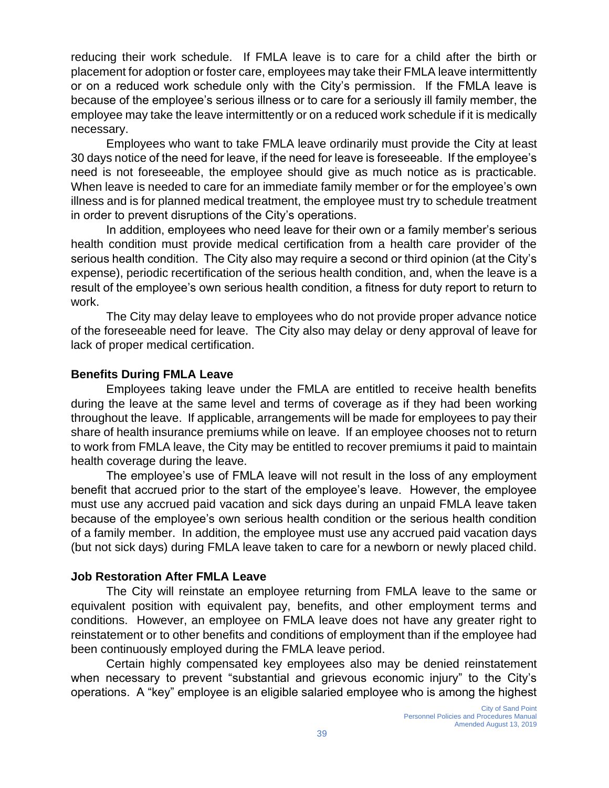reducing their work schedule. If FMLA leave is to care for a child after the birth or placement for adoption or foster care, employees may take their FMLA leave intermittently or on a reduced work schedule only with the City's permission. If the FMLA leave is because of the employee's serious illness or to care for a seriously ill family member, the employee may take the leave intermittently or on a reduced work schedule if it is medically necessary.

Employees who want to take FMLA leave ordinarily must provide the City at least 30 days notice of the need for leave, if the need for leave is foreseeable. If the employee's need is not foreseeable, the employee should give as much notice as is practicable. When leave is needed to care for an immediate family member or for the employee's own illness and is for planned medical treatment, the employee must try to schedule treatment in order to prevent disruptions of the City's operations.

In addition, employees who need leave for their own or a family member's serious health condition must provide medical certification from a health care provider of the serious health condition. The City also may require a second or third opinion (at the City's expense), periodic recertification of the serious health condition, and, when the leave is a result of the employee's own serious health condition, a fitness for duty report to return to work.

The City may delay leave to employees who do not provide proper advance notice of the foreseeable need for leave. The City also may delay or deny approval of leave for lack of proper medical certification.

#### **Benefits During FMLA Leave**

Employees taking leave under the FMLA are entitled to receive health benefits during the leave at the same level and terms of coverage as if they had been working throughout the leave. If applicable, arrangements will be made for employees to pay their share of health insurance premiums while on leave. If an employee chooses not to return to work from FMLA leave, the City may be entitled to recover premiums it paid to maintain health coverage during the leave.

The employee's use of FMLA leave will not result in the loss of any employment benefit that accrued prior to the start of the employee's leave. However, the employee must use any accrued paid vacation and sick days during an unpaid FMLA leave taken because of the employee's own serious health condition or the serious health condition of a family member. In addition, the employee must use any accrued paid vacation days (but not sick days) during FMLA leave taken to care for a newborn or newly placed child.

#### **Job Restoration After FMLA Leave**

The City will reinstate an employee returning from FMLA leave to the same or equivalent position with equivalent pay, benefits, and other employment terms and conditions. However, an employee on FMLA leave does not have any greater right to reinstatement or to other benefits and conditions of employment than if the employee had been continuously employed during the FMLA leave period.

Certain highly compensated key employees also may be denied reinstatement when necessary to prevent "substantial and grievous economic injury" to the City's operations. A "key" employee is an eligible salaried employee who is among the highest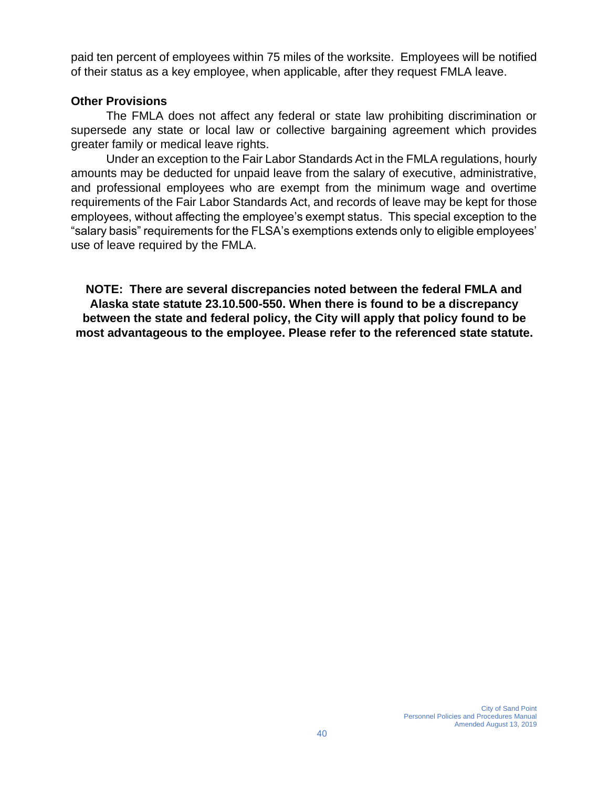paid ten percent of employees within 75 miles of the worksite. Employees will be notified of their status as a key employee, when applicable, after they request FMLA leave.

#### **Other Provisions**

The FMLA does not affect any federal or state law prohibiting discrimination or supersede any state or local law or collective bargaining agreement which provides greater family or medical leave rights.

Under an exception to the Fair Labor Standards Act in the FMLA regulations, hourly amounts may be deducted for unpaid leave from the salary of executive, administrative, and professional employees who are exempt from the minimum wage and overtime requirements of the Fair Labor Standards Act, and records of leave may be kept for those employees, without affecting the employee's exempt status. This special exception to the "salary basis" requirements for the FLSA's exemptions extends only to eligible employees' use of leave required by the FMLA.

**NOTE: There are several discrepancies noted between the federal FMLA and Alaska state statute 23.10.500-550. When there is found to be a discrepancy between the state and federal policy, the City will apply that policy found to be most advantageous to the employee. Please refer to the referenced state statute.**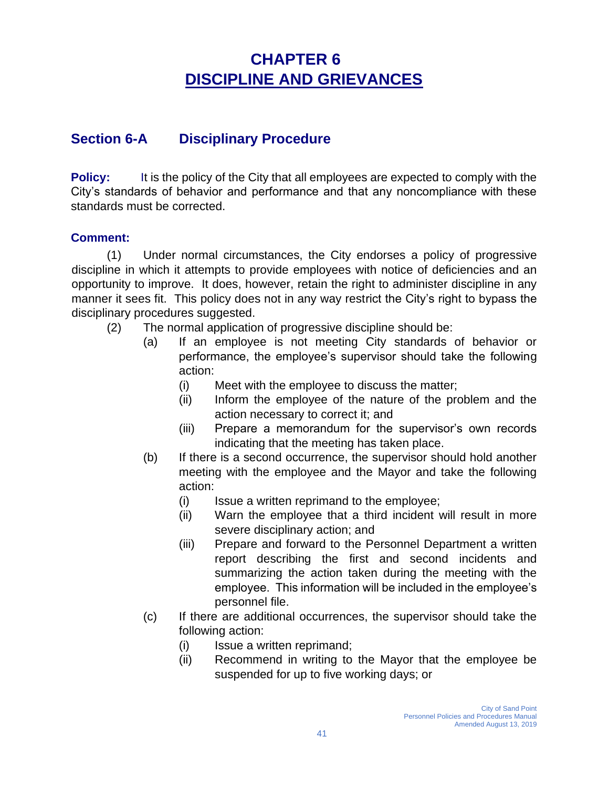# **CHAPTER 6 DISCIPLINE AND GRIEVANCES**

### **Section 6-A Disciplinary Procedure**

**Policy:** It is the policy of the City that all employees are expected to comply with the City's standards of behavior and performance and that any noncompliance with these standards must be corrected.

#### **Comment:**

(1) Under normal circumstances, the City endorses a policy of progressive discipline in which it attempts to provide employees with notice of deficiencies and an opportunity to improve. It does, however, retain the right to administer discipline in any manner it sees fit. This policy does not in any way restrict the City's right to bypass the disciplinary procedures suggested.

- (2) The normal application of progressive discipline should be:
	- (a) If an employee is not meeting City standards of behavior or performance, the employee's supervisor should take the following action:
		- (i) Meet with the employee to discuss the matter;
		- (ii) Inform the employee of the nature of the problem and the action necessary to correct it; and
		- (iii) Prepare a memorandum for the supervisor's own records indicating that the meeting has taken place.
	- (b) If there is a second occurrence, the supervisor should hold another meeting with the employee and the Mayor and take the following action:
		- (i) Issue a written reprimand to the employee;
		- (ii) Warn the employee that a third incident will result in more severe disciplinary action; and
		- (iii) Prepare and forward to the Personnel Department a written report describing the first and second incidents and summarizing the action taken during the meeting with the employee. This information will be included in the employee's personnel file.
	- (c) If there are additional occurrences, the supervisor should take the following action:
		- (i) Issue a written reprimand;
		- (ii) Recommend in writing to the Mayor that the employee be suspended for up to five working days; or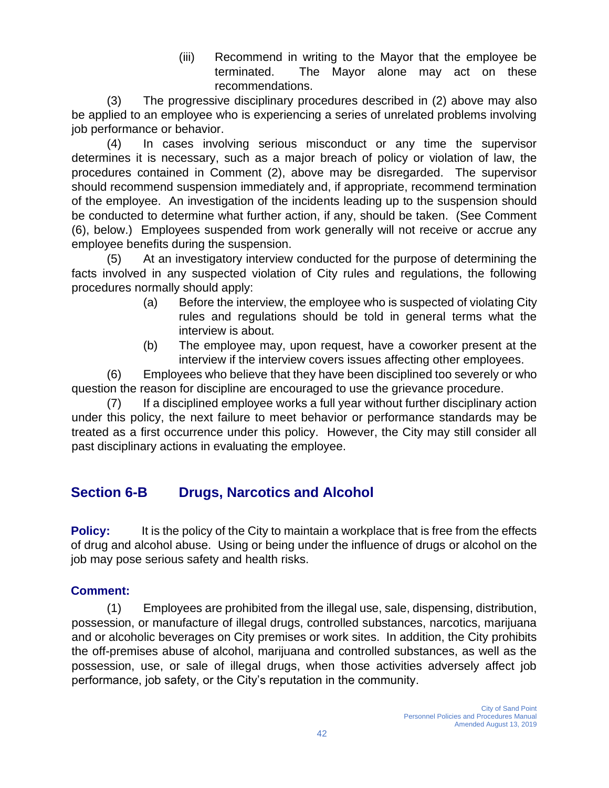(iii) Recommend in writing to the Mayor that the employee be terminated. The Mayor alone may act on these recommendations.

(3) The progressive disciplinary procedures described in (2) above may also be applied to an employee who is experiencing a series of unrelated problems involving job performance or behavior.

(4) In cases involving serious misconduct or any time the supervisor determines it is necessary, such as a major breach of policy or violation of law, the procedures contained in Comment (2), above may be disregarded. The supervisor should recommend suspension immediately and, if appropriate, recommend termination of the employee. An investigation of the incidents leading up to the suspension should be conducted to determine what further action, if any, should be taken. (See Comment (6), below.) Employees suspended from work generally will not receive or accrue any employee benefits during the suspension.

(5) At an investigatory interview conducted for the purpose of determining the facts involved in any suspected violation of City rules and regulations, the following procedures normally should apply:

- (a) Before the interview, the employee who is suspected of violating City rules and regulations should be told in general terms what the interview is about.
- (b) The employee may, upon request, have a coworker present at the interview if the interview covers issues affecting other employees.

(6) Employees who believe that they have been disciplined too severely or who question the reason for discipline are encouraged to use the grievance procedure.

(7) If a disciplined employee works a full year without further disciplinary action under this policy, the next failure to meet behavior or performance standards may be treated as a first occurrence under this policy. However, the City may still consider all past disciplinary actions in evaluating the employee.

### **Section 6-B Drugs, Narcotics and Alcohol**

**Policy:** It is the policy of the City to maintain a workplace that is free from the effects of drug and alcohol abuse. Using or being under the influence of drugs or alcohol on the job may pose serious safety and health risks.

### **Comment:**

(1) Employees are prohibited from the illegal use, sale, dispensing, distribution, possession, or manufacture of illegal drugs, controlled substances, narcotics, marijuana and or alcoholic beverages on City premises or work sites. In addition, the City prohibits the off-premises abuse of alcohol, marijuana and controlled substances, as well as the possession, use, or sale of illegal drugs, when those activities adversely affect job performance, job safety, or the City's reputation in the community.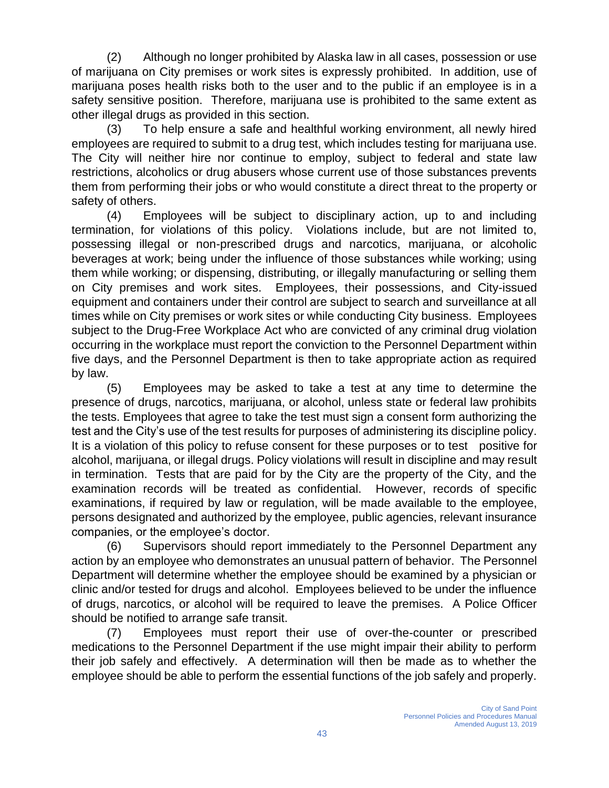(2) Although no longer prohibited by Alaska law in all cases, possession or use of marijuana on City premises or work sites is expressly prohibited. In addition, use of marijuana poses health risks both to the user and to the public if an employee is in a safety sensitive position. Therefore, marijuana use is prohibited to the same extent as other illegal drugs as provided in this section.

(3) To help ensure a safe and healthful working environment, all newly hired employees are required to submit to a drug test, which includes testing for marijuana use. The City will neither hire nor continue to employ, subject to federal and state law restrictions, alcoholics or drug abusers whose current use of those substances prevents them from performing their jobs or who would constitute a direct threat to the property or safety of others.

(4) Employees will be subject to disciplinary action, up to and including termination, for violations of this policy. Violations include, but are not limited to, possessing illegal or non-prescribed drugs and narcotics, marijuana, or alcoholic beverages at work; being under the influence of those substances while working; using them while working; or dispensing, distributing, or illegally manufacturing or selling them on City premises and work sites. Employees, their possessions, and City-issued equipment and containers under their control are subject to search and surveillance at all times while on City premises or work sites or while conducting City business. Employees subject to the Drug-Free Workplace Act who are convicted of any criminal drug violation occurring in the workplace must report the conviction to the Personnel Department within five days, and the Personnel Department is then to take appropriate action as required by law.

(5) Employees may be asked to take a test at any time to determine the presence of drugs, narcotics, marijuana, or alcohol, unless state or federal law prohibits the tests. Employees that agree to take the test must sign a consent form authorizing the test and the City's use of the test results for purposes of administering its discipline policy. It is a violation of this policy to refuse consent for these purposes or to test positive for alcohol, marijuana, or illegal drugs. Policy violations will result in discipline and may result in termination. Tests that are paid for by the City are the property of the City, and the examination records will be treated as confidential. However, records of specific examinations, if required by law or regulation, will be made available to the employee, persons designated and authorized by the employee, public agencies, relevant insurance companies, or the employee's doctor.

(6) Supervisors should report immediately to the Personnel Department any action by an employee who demonstrates an unusual pattern of behavior. The Personnel Department will determine whether the employee should be examined by a physician or clinic and/or tested for drugs and alcohol. Employees believed to be under the influence of drugs, narcotics, or alcohol will be required to leave the premises. A Police Officer should be notified to arrange safe transit.

(7) Employees must report their use of over-the-counter or prescribed medications to the Personnel Department if the use might impair their ability to perform their job safely and effectively. A determination will then be made as to whether the employee should be able to perform the essential functions of the job safely and properly.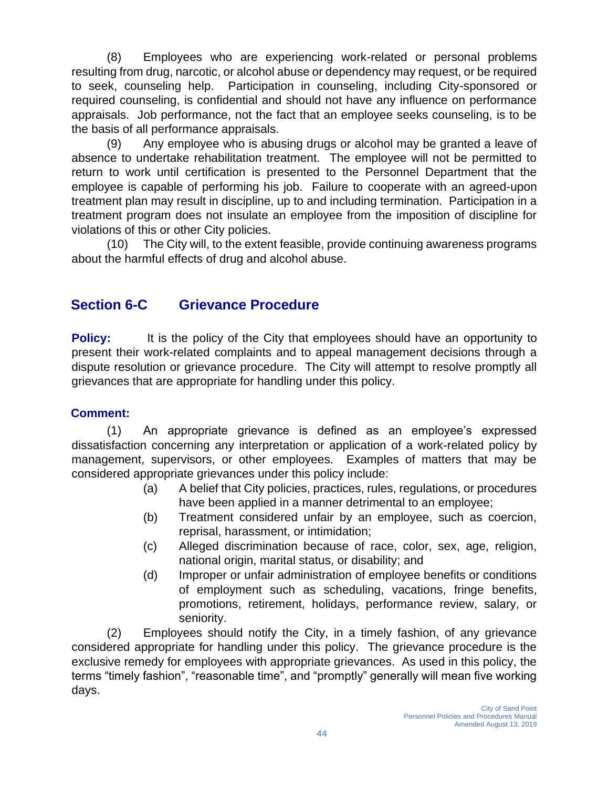(8) Employees who are experiencing work-related or personal problems resulting from drug, narcotic, or alcohol abuse or dependency may request, or be required to seek, counseling help. Participation in counseling, including City-sponsored or required counseling, is confidential and should not have any influence on performance appraisals. Job performance, not the fact that an employee seeks counseling, is to be the basis of all performance appraisals.

(9) Any employee who is abusing drugs or alcohol may be granted a leave of absence to undertake rehabilitation treatment. The employee will not be permitted to return to work until certification is presented to the Personnel Department that the employee is capable of performing his job. Failure to cooperate with an agreed-upon treatment plan may result in discipline, up to and including termination. Participation in a treatment program does not insulate an employee from the imposition of discipline for violations of this or other City policies.

(10) The City will, to the extent feasible, provide continuing awareness programs about the harmful effects of drug and alcohol abuse.

### **Section 6-C Grievance Procedure**

**Policy:** It is the policy of the City that employees should have an opportunity to present their work-related complaints and to appeal management decisions through a dispute resolution or grievance procedure. The City will attempt to resolve promptly all grievances that are appropriate for handling under this policy.

#### **Comment:**

(1) An appropriate grievance is defined as an employee's expressed dissatisfaction concerning any interpretation or application of a work-related policy by management, supervisors, or other employees. Examples of matters that may be considered appropriate grievances under this policy include:

- (a) A belief that City policies, practices, rules, regulations, or procedures have been applied in a manner detrimental to an employee;
- (b) Treatment considered unfair by an employee, such as coercion, reprisal, harassment, or intimidation;
- (c) Alleged discrimination because of race, color, sex, age, religion, national origin, marital status, or disability; and
- (d) Improper or unfair administration of employee benefits or conditions of employment such as scheduling, vacations, fringe benefits, promotions, retirement, holidays, performance review, salary, or seniority.

(2) Employees should notify the City, in a timely fashion, of any grievance considered appropriate for handling under this policy. The grievance procedure is the exclusive remedy for employees with appropriate grievances. As used in this policy, the terms "timely fashion", "reasonable time", and "promptly" generally will mean five working days.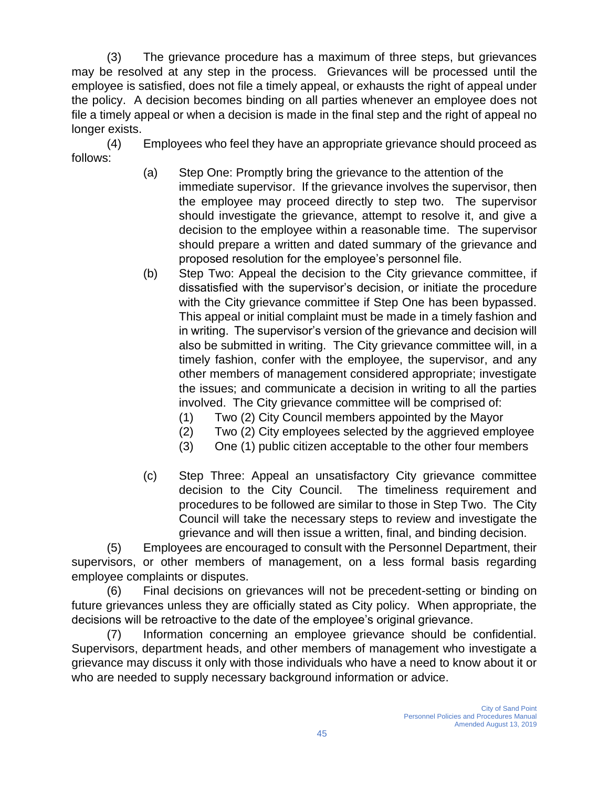(3) The grievance procedure has a maximum of three steps, but grievances may be resolved at any step in the process. Grievances will be processed until the employee is satisfied, does not file a timely appeal, or exhausts the right of appeal under the policy. A decision becomes binding on all parties whenever an employee does not file a timely appeal or when a decision is made in the final step and the right of appeal no longer exists.

(4) Employees who feel they have an appropriate grievance should proceed as follows:

- (a) Step One: Promptly bring the grievance to the attention of the immediate supervisor. If the grievance involves the supervisor, then the employee may proceed directly to step two. The supervisor should investigate the grievance, attempt to resolve it, and give a decision to the employee within a reasonable time. The supervisor should prepare a written and dated summary of the grievance and proposed resolution for the employee's personnel file.
- (b) Step Two: Appeal the decision to the City grievance committee, if dissatisfied with the supervisor's decision, or initiate the procedure with the City grievance committee if Step One has been bypassed. This appeal or initial complaint must be made in a timely fashion and in writing. The supervisor's version of the grievance and decision will also be submitted in writing. The City grievance committee will, in a timely fashion, confer with the employee, the supervisor, and any other members of management considered appropriate; investigate the issues; and communicate a decision in writing to all the parties involved. The City grievance committee will be comprised of:
	- (1) Two (2) City Council members appointed by the Mayor
	- (2) Two (2) City employees selected by the aggrieved employee
	- (3) One (1) public citizen acceptable to the other four members
- (c) Step Three: Appeal an unsatisfactory City grievance committee decision to the City Council. The timeliness requirement and procedures to be followed are similar to those in Step Two. The City Council will take the necessary steps to review and investigate the grievance and will then issue a written, final, and binding decision.

(5) Employees are encouraged to consult with the Personnel Department, their supervisors, or other members of management, on a less formal basis regarding employee complaints or disputes.

(6) Final decisions on grievances will not be precedent-setting or binding on future grievances unless they are officially stated as City policy. When appropriate, the decisions will be retroactive to the date of the employee's original grievance.

(7) Information concerning an employee grievance should be confidential. Supervisors, department heads, and other members of management who investigate a grievance may discuss it only with those individuals who have a need to know about it or who are needed to supply necessary background information or advice.